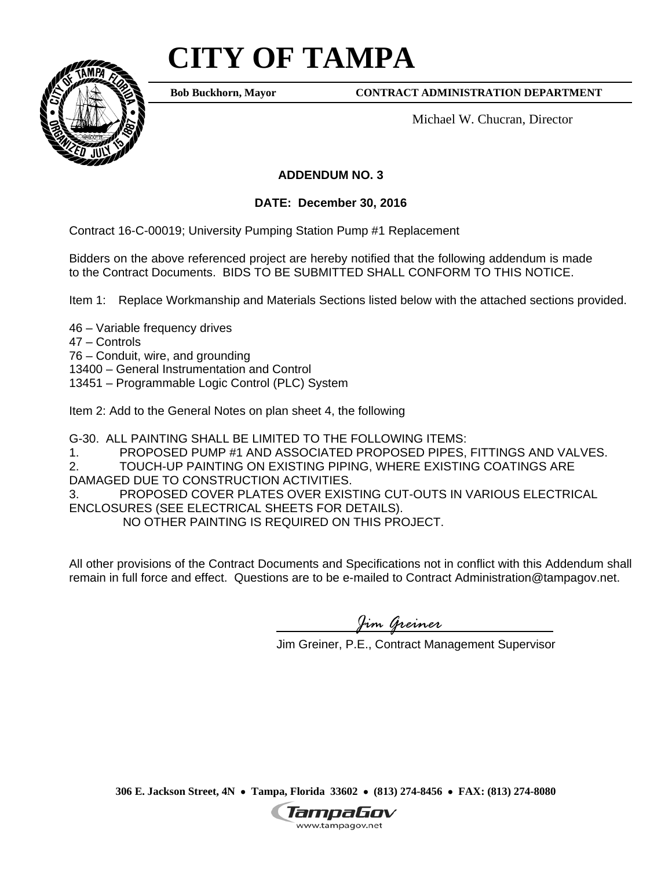# **CITY OF TAMPA**



**Bob Buckhorn, Mayor**

**CONTRACT ADMINISTRATION DEPARTMENT** 

Michael W. Chucran, Director

## **ADDENDUM NO. 3**

**DATE: December 30, 2016** 

Contract 16-C-00019; University Pumping Station Pump #1 Replacement

Bidders on the above referenced project are hereby notified that the following addendum is made to the Contract Documents. BIDS TO BE SUBMITTED SHALL CONFORM TO THIS NOTICE.

Item 1: Replace Workmanship and Materials Sections listed below with the attached sections provided.

46 – Variable frequency drives

47 – Controls

76 – Conduit, wire, and grounding

13400 – General Instrumentation and Control

13451 – Programmable Logic Control (PLC) System

Item 2: Add to the General Notes on plan sheet 4, the following

G-30. ALL PAINTING SHALL BE LIMITED TO THE FOLLOWING ITEMS:

1. PROPOSED PUMP #1 AND ASSOCIATED PROPOSED PIPES, FITTINGS AND VALVES.

2. TOUCH-UP PAINTING ON EXISTING PIPING, WHERE EXISTING COATINGS ARE

DAMAGED DUE TO CONSTRUCTION ACTIVITIES.

3. PROPOSED COVER PLATES OVER EXISTING CUT-OUTS IN VARIOUS ELECTRICAL ENCLOSURES (SEE ELECTRICAL SHEETS FOR DETAILS).

NO OTHER PAINTING IS REQUIRED ON THIS PROJECT.

All other provisions of the Contract Documents and Specifications not in conflict with this Addendum shall remain in full force and effect. Questions are to be e-mailed to Contract Administration@tampagov.net.

*Jim Greiner* 

Jim Greiner, P.E., Contract Management Supervisor

**306 E. Jackson Street, 4N Tampa, Florida 33602 (813) 274-8456 FAX: (813) 274-8080** 

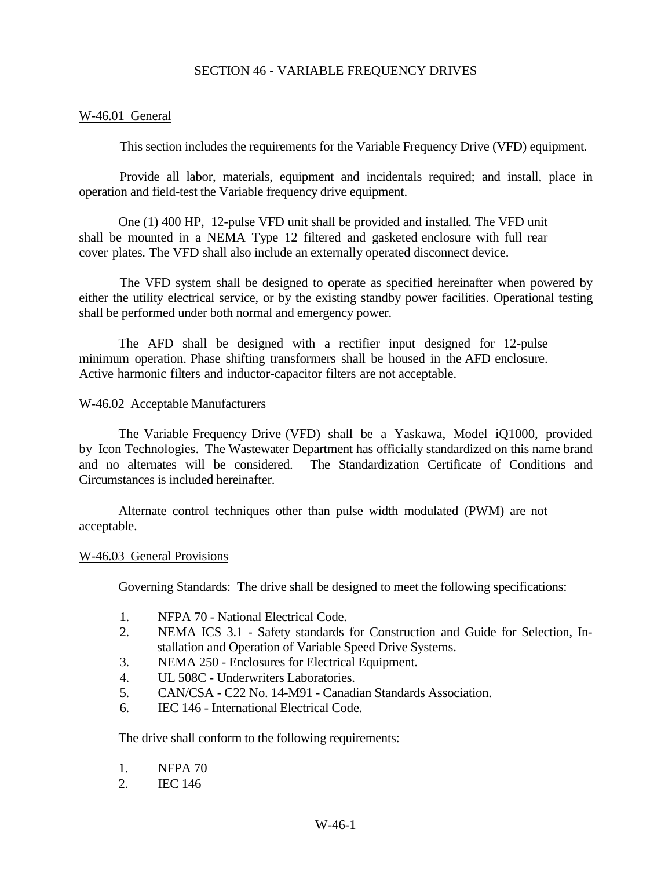#### SECTION 46 - VARIABLE FREQUENCY DRIVES

#### W-46.01 General

This section includes the requirements for the Variable Frequency Drive (VFD) equipment.

Provide all labor, materials, equipment and incidentals required; and install, place in operation and field-test the Variable frequency drive equipment.

One (1) 400 HP, 12-pulse VFD unit shall be provided and installed. The VFD unit shall be mounted in a NEMA Type 12 filtered and gasketed enclosure with full rear cover plates. The VFD shall also include an externally operated disconnect device.

The VFD system shall be designed to operate as specified hereinafter when powered by either the utility electrical service, or by the existing standby power facilities. Operational testing shall be performed under both normal and emergency power.

The AFD shall be designed with a rectifier input designed for 12-pulse minimum operation. Phase shifting transformers shall be housed in the AFD enclosure. Active harmonic filters and inductor-capacitor filters are not acceptable.

#### W-46.02 Acceptable Manufacturers

The Variable Frequency Drive (VFD) shall be a Yaskawa, Model iQ1000, provided by Icon Technologies. The Wastewater Department has officially standardized on this name brand and no alternates will be considered. The Standardization Certificate of Conditions and Circumstances is included hereinafter.

Alternate control techniques other than pulse width modulated (PWM) are not acceptable.

#### W-46.03 General Provisions

Governing Standards: The drive shall be designed to meet the following specifications:

- 1. NFPA 70 National Electrical Code.
- 2. NEMA ICS 3.1 Safety standards for Construction and Guide for Selection, Installation and Operation of Variable Speed Drive Systems.
- 3. NEMA 250 Enclosures for Electrical Equipment.
- 4. UL 508C Underwriters Laboratories.
- 5. CAN/CSA C22 No. 14-M91 Canadian Standards Association.
- 6. IEC 146 International Electrical Code.

The drive shall conform to the following requirements:

- 1. NFPA 70
- 2. IEC 146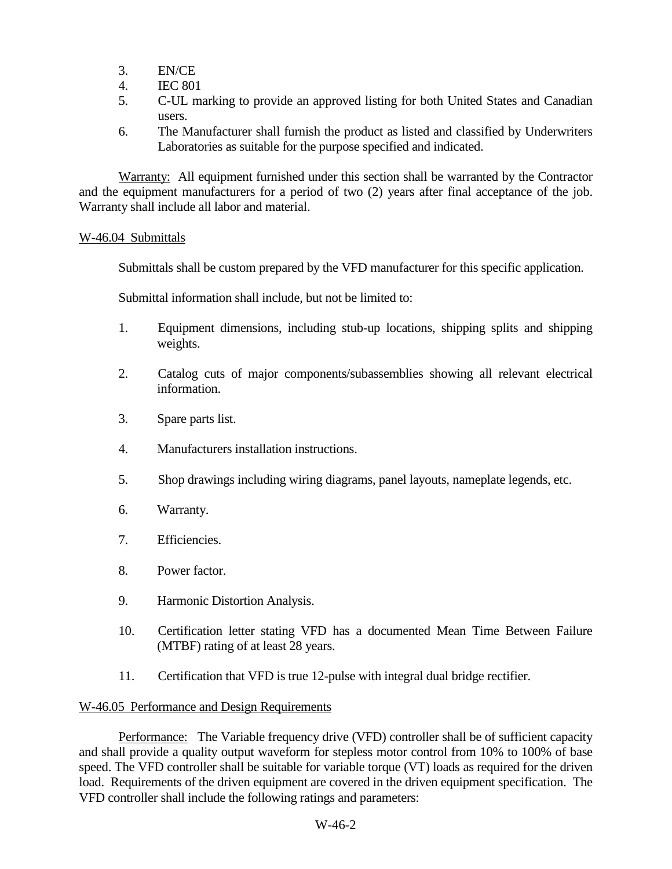- 3. EN/CE
- 4. IEC 801
- 5. C-UL marking to provide an approved listing for both United States and Canadian users.
- 6. The Manufacturer shall furnish the product as listed and classified by Underwriters Laboratories as suitable for the purpose specified and indicated.

Warranty: All equipment furnished under this section shall be warranted by the Contractor and the equipment manufacturers for a period of two (2) years after final acceptance of the job. Warranty shall include all labor and material.

#### W-46.04 Submittals

Submittals shall be custom prepared by the VFD manufacturer for this specific application.

Submittal information shall include, but not be limited to:

- 1. Equipment dimensions, including stub-up locations, shipping splits and shipping weights.
- 2. Catalog cuts of major components/subassemblies showing all relevant electrical information.
- 3. Spare parts list.
- 4. Manufacturers installation instructions.
- 5. Shop drawings including wiring diagrams, panel layouts, nameplate legends, etc.
- 6. Warranty.
- 7. Efficiencies.
- 8. Power factor.
- 9. Harmonic Distortion Analysis.
- 10. Certification letter stating VFD has a documented Mean Time Between Failure (MTBF) rating of at least 28 years.
- 11. Certification that VFD is true 12-pulse with integral dual bridge rectifier.

#### W-46.05 Performance and Design Requirements

Performance: The Variable frequency drive (VFD) controller shall be of sufficient capacity and shall provide a quality output waveform for stepless motor control from 10% to 100% of base speed. The VFD controller shall be suitable for variable torque (VT) loads as required for the driven load. Requirements of the driven equipment are covered in the driven equipment specification. The VFD controller shall include the following ratings and parameters: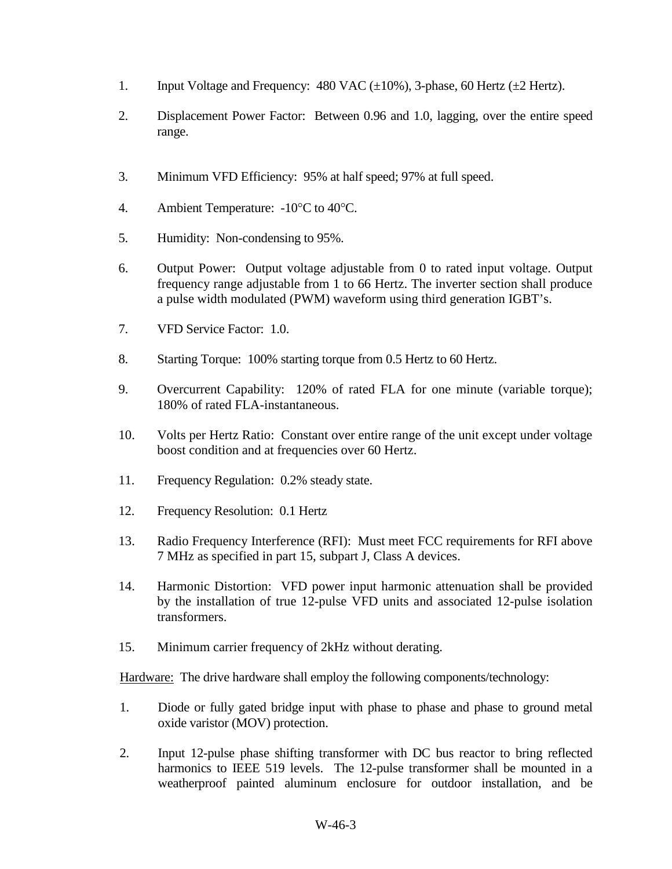- 1. Input Voltage and Frequency:  $480$  VAC ( $\pm 10\%$ ), 3-phase, 60 Hertz ( $\pm 2$  Hertz).
- 2. Displacement Power Factor: Between 0.96 and 1.0, lagging, over the entire speed range.
- 3. Minimum VFD Efficiency: 95% at half speed; 97% at full speed.
- 4. Ambient Temperature: -10°C to 40°C.
- 5. Humidity: Non-condensing to 95%.
- 6. Output Power: Output voltage adjustable from 0 to rated input voltage. Output frequency range adjustable from 1 to 66 Hertz. The inverter section shall produce a pulse width modulated (PWM) waveform using third generation IGBT's.
- 7. VFD Service Factor: 1.0.
- 8. Starting Torque: 100% starting torque from 0.5 Hertz to 60 Hertz.
- 9. Overcurrent Capability: 120% of rated FLA for one minute (variable torque); 180% of rated FLA-instantaneous.
- 10. Volts per Hertz Ratio: Constant over entire range of the unit except under voltage boost condition and at frequencies over 60 Hertz.
- 11. Frequency Regulation: 0.2% steady state.
- 12. Frequency Resolution: 0.1 Hertz
- 13. Radio Frequency Interference (RFI): Must meet FCC requirements for RFI above 7 MHz as specified in part 15, subpart J, Class A devices.
- 14. Harmonic Distortion: VFD power input harmonic attenuation shall be provided by the installation of true 12-pulse VFD units and associated 12-pulse isolation transformers.
- 15. Minimum carrier frequency of 2kHz without derating.

Hardware: The drive hardware shall employ the following components/technology:

- 1. Diode or fully gated bridge input with phase to phase and phase to ground metal oxide varistor (MOV) protection.
- 2. Input 12-pulse phase shifting transformer with DC bus reactor to bring reflected harmonics to IEEE 519 levels. The 12-pulse transformer shall be mounted in a weatherproof painted aluminum enclosure for outdoor installation, and be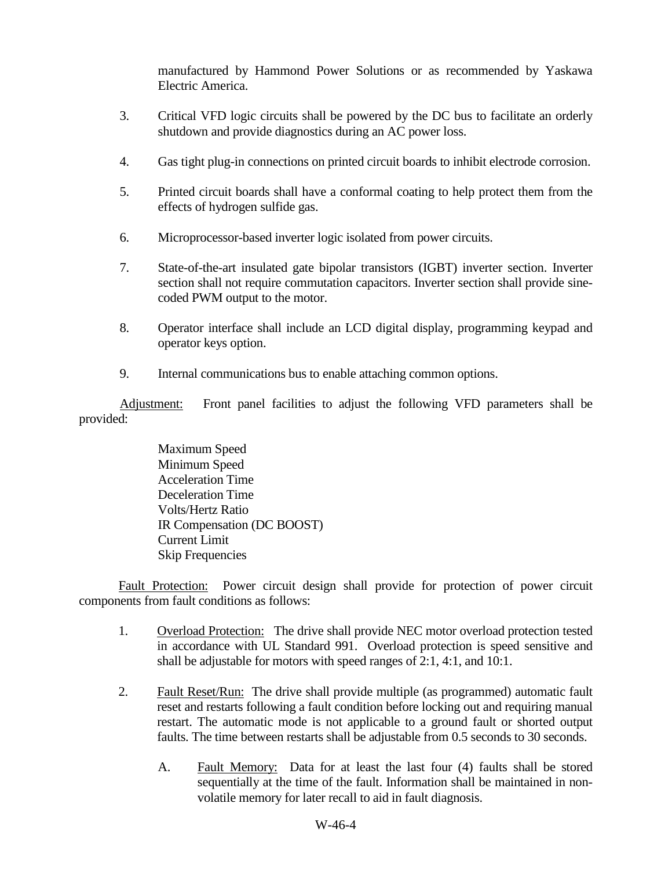manufactured by Hammond Power Solutions or as recommended by Yaskawa Electric America.

- 3. Critical VFD logic circuits shall be powered by the DC bus to facilitate an orderly shutdown and provide diagnostics during an AC power loss.
- 4. Gas tight plug-in connections on printed circuit boards to inhibit electrode corrosion.
- 5. Printed circuit boards shall have a conformal coating to help protect them from the effects of hydrogen sulfide gas.
- 6. Microprocessor-based inverter logic isolated from power circuits.
- 7. State-of-the-art insulated gate bipolar transistors (IGBT) inverter section. Inverter section shall not require commutation capacitors. Inverter section shall provide sinecoded PWM output to the motor.
- 8. Operator interface shall include an LCD digital display, programming keypad and operator keys option.
- 9. Internal communications bus to enable attaching common options.

Adjustment: Front panel facilities to adjust the following VFD parameters shall be provided:

> Maximum Speed Minimum Speed Acceleration Time Deceleration Time Volts/Hertz Ratio IR Compensation (DC BOOST) Current Limit Skip Frequencies

Fault Protection: Power circuit design shall provide for protection of power circuit components from fault conditions as follows:

- 1. Overload Protection: The drive shall provide NEC motor overload protection tested in accordance with UL Standard 991. Overload protection is speed sensitive and shall be adjustable for motors with speed ranges of 2:1, 4:1, and 10:1.
- 2. Fault Reset/Run: The drive shall provide multiple (as programmed) automatic fault reset and restarts following a fault condition before locking out and requiring manual restart. The automatic mode is not applicable to a ground fault or shorted output faults. The time between restarts shall be adjustable from 0.5 seconds to 30 seconds.
	- A. Fault Memory: Data for at least the last four (4) faults shall be stored sequentially at the time of the fault. Information shall be maintained in nonvolatile memory for later recall to aid in fault diagnosis.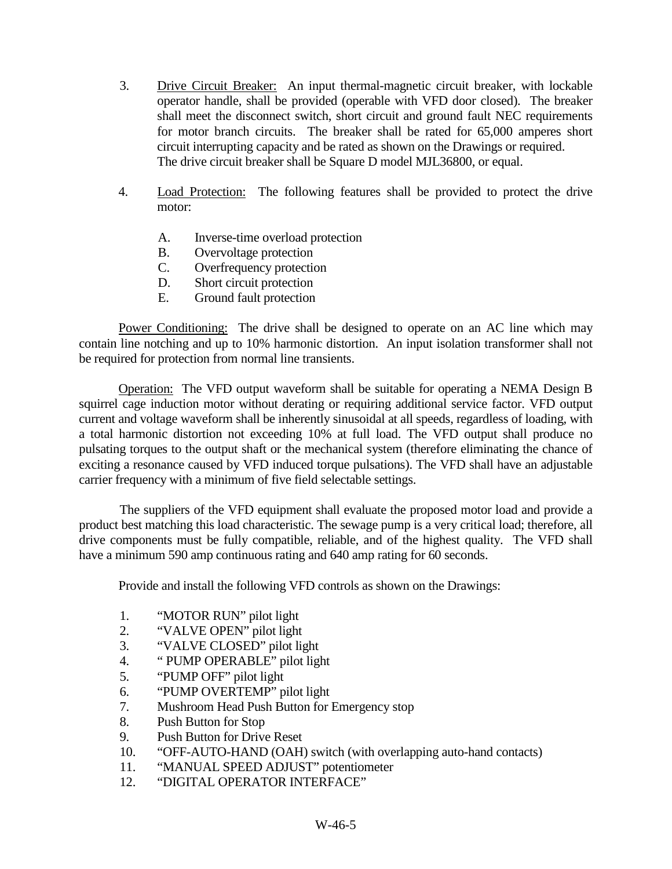- 3. Drive Circuit Breaker: An input thermal-magnetic circuit breaker, with lockable operator handle, shall be provided (operable with VFD door closed). The breaker shall meet the disconnect switch, short circuit and ground fault NEC requirements for motor branch circuits. The breaker shall be rated for 65,000 amperes short circuit interrupting capacity and be rated as shown on the Drawings or required. The drive circuit breaker shall be Square D model MJL36800, or equal.
- 4. Load Protection: The following features shall be provided to protect the drive motor:
	- A. Inverse-time overload protection
	- B. Overvoltage protection
	- C. Overfrequency protection
	- D. Short circuit protection
	- E. Ground fault protection

Power Conditioning: The drive shall be designed to operate on an AC line which may contain line notching and up to 10% harmonic distortion. An input isolation transformer shall not be required for protection from normal line transients.

Operation: The VFD output waveform shall be suitable for operating a NEMA Design B squirrel cage induction motor without derating or requiring additional service factor. VFD output current and voltage waveform shall be inherently sinusoidal at all speeds, regardless of loading, with a total harmonic distortion not exceeding 10% at full load. The VFD output shall produce no pulsating torques to the output shaft or the mechanical system (therefore eliminating the chance of exciting a resonance caused by VFD induced torque pulsations). The VFD shall have an adjustable carrier frequency with a minimum of five field selectable settings.

The suppliers of the VFD equipment shall evaluate the proposed motor load and provide a product best matching this load characteristic. The sewage pump is a very critical load; therefore, all drive components must be fully compatible, reliable, and of the highest quality. The VFD shall have a minimum 590 amp continuous rating and 640 amp rating for 60 seconds.

Provide and install the following VFD controls as shown on the Drawings:

- 1. "MOTOR RUN" pilot light
- 2. "VALVE OPEN" pilot light
- 3. "VALVE CLOSED" pilot light
- 4. " PUMP OPERABLE" pilot light
- 5. "PUMP OFF" pilot light
- 6. "PUMP OVERTEMP" pilot light
- 7. Mushroom Head Push Button for Emergency stop
- 8. Push Button for Stop
- 9. Push Button for Drive Reset
- 10. "OFF-AUTO-HAND (OAH) switch (with overlapping auto-hand contacts)
- 11. "MANUAL SPEED ADJUST" potentiometer
- 12. "DIGITAL OPERATOR INTERFACE"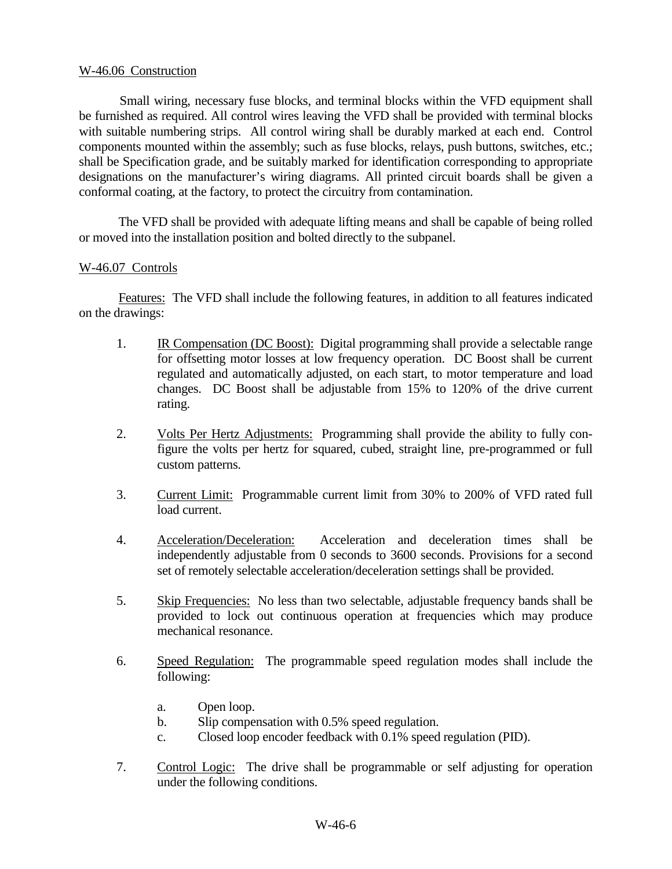#### W-46.06 Construction

Small wiring, necessary fuse blocks, and terminal blocks within the VFD equipment shall be furnished as required. All control wires leaving the VFD shall be provided with terminal blocks with suitable numbering strips. All control wiring shall be durably marked at each end. Control components mounted within the assembly; such as fuse blocks, relays, push buttons, switches, etc.; shall be Specification grade, and be suitably marked for identification corresponding to appropriate designations on the manufacturer's wiring diagrams. All printed circuit boards shall be given a conformal coating, at the factory, to protect the circuitry from contamination.

The VFD shall be provided with adequate lifting means and shall be capable of being rolled or moved into the installation position and bolted directly to the subpanel.

#### W-46.07 Controls

Features: The VFD shall include the following features, in addition to all features indicated on the drawings:

- 1. IR Compensation (DC Boost): Digital programming shall provide a selectable range for offsetting motor losses at low frequency operation. DC Boost shall be current regulated and automatically adjusted, on each start, to motor temperature and load changes. DC Boost shall be adjustable from 15% to 120% of the drive current rating.
- 2. Volts Per Hertz Adjustments: Programming shall provide the ability to fully configure the volts per hertz for squared, cubed, straight line, pre-programmed or full custom patterns.
- 3. Current Limit: Programmable current limit from 30% to 200% of VFD rated full load current.
- 4. Acceleration/Deceleration: Acceleration and deceleration times shall be independently adjustable from 0 seconds to 3600 seconds. Provisions for a second set of remotely selectable acceleration/deceleration settings shall be provided.
- 5. Skip Frequencies: No less than two selectable, adjustable frequency bands shall be provided to lock out continuous operation at frequencies which may produce mechanical resonance.
- 6. Speed Regulation: The programmable speed regulation modes shall include the following:
	- a. Open loop.
	- b. Slip compensation with 0.5% speed regulation.
	- c. Closed loop encoder feedback with 0.1% speed regulation (PID).
- 7. Control Logic: The drive shall be programmable or self adjusting for operation under the following conditions.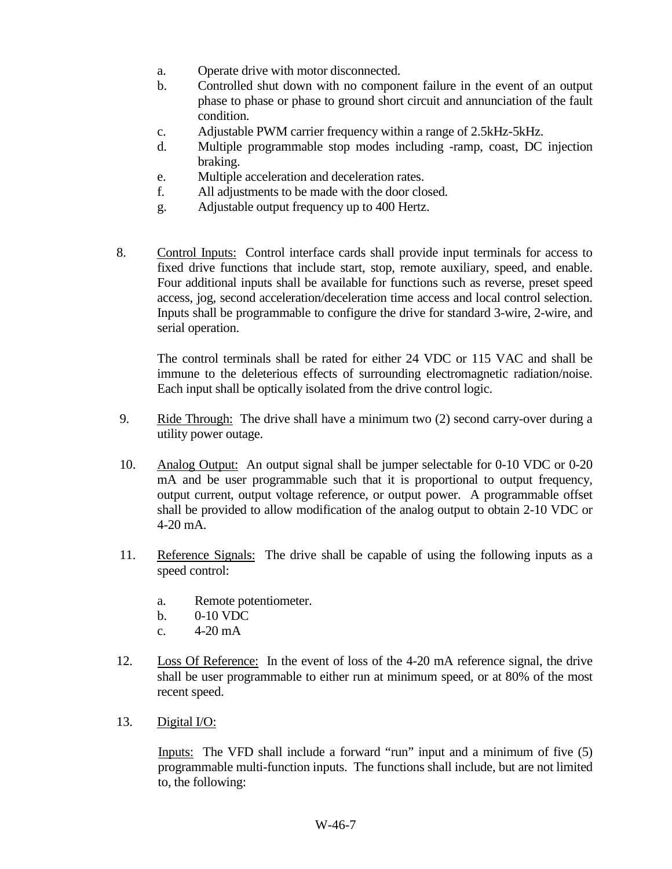- a. Operate drive with motor disconnected.
- b. Controlled shut down with no component failure in the event of an output phase to phase or phase to ground short circuit and annunciation of the fault condition.
- c. Adjustable PWM carrier frequency within a range of 2.5kHz-5kHz.
- d. Multiple programmable stop modes including -ramp, coast, DC injection braking.
- e. Multiple acceleration and deceleration rates.
- f. All adjustments to be made with the door closed.
- g. Adjustable output frequency up to 400 Hertz.
- 8. Control Inputs: Control interface cards shall provide input terminals for access to fixed drive functions that include start, stop, remote auxiliary, speed, and enable. Four additional inputs shall be available for functions such as reverse, preset speed access, jog, second acceleration/deceleration time access and local control selection. Inputs shall be programmable to configure the drive for standard 3-wire, 2-wire, and serial operation.

The control terminals shall be rated for either 24 VDC or 115 VAC and shall be immune to the deleterious effects of surrounding electromagnetic radiation/noise. Each input shall be optically isolated from the drive control logic.

- 9. Ride Through: The drive shall have a minimum two (2) second carry-over during a utility power outage.
- 10. Analog Output: An output signal shall be jumper selectable for 0-10 VDC or 0-20 mA and be user programmable such that it is proportional to output frequency, output current, output voltage reference, or output power. A programmable offset shall be provided to allow modification of the analog output to obtain 2-10 VDC or 4-20 mA.
- 11. Reference Signals: The drive shall be capable of using the following inputs as a speed control:
	- a. Remote potentiometer.
	- b. 0-10 VDC
	- c.  $4-20 \text{ mA}$
- 12. Loss Of Reference: In the event of loss of the 4-20 mA reference signal, the drive shall be user programmable to either run at minimum speed, or at 80% of the most recent speed.
- 13. Digital I/O:

Inputs: The VFD shall include a forward "run" input and a minimum of five (5) programmable multi-function inputs. The functions shall include, but are not limited to, the following: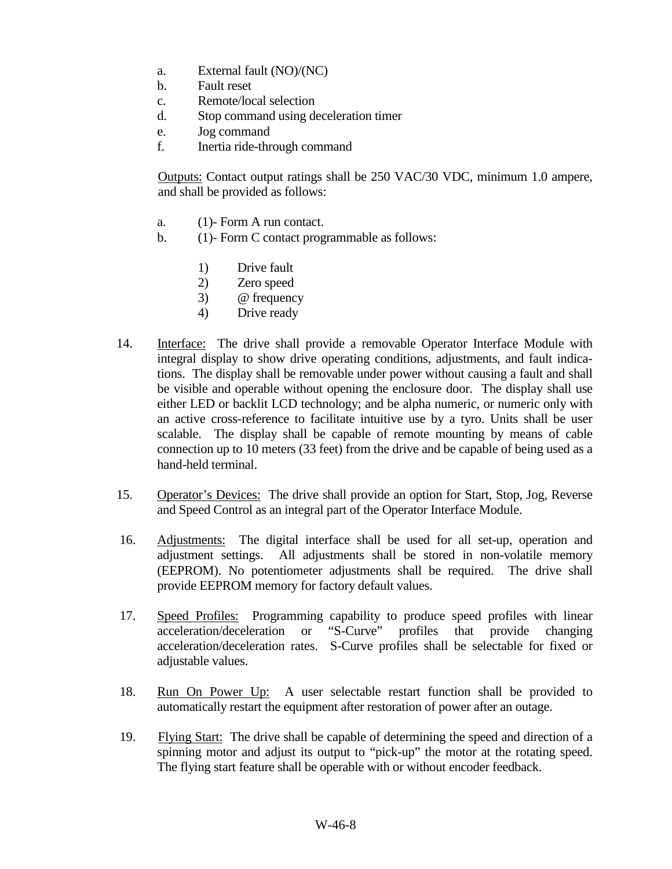- a. External fault (NO)/(NC)
- b. Fault reset
- c. Remote/local selection
- d. Stop command using deceleration timer
- e. Jog command
- f. Inertia ride-through command

Outputs: Contact output ratings shall be 250 VAC/30 VDC, minimum 1.0 ampere, and shall be provided as follows:

- a. (1)- Form A run contact.
- b. (1)- Form C contact programmable as follows:
	- 1) Drive fault
	- 2) Zero speed
	- 3) @ frequency
	- 4) Drive ready
- 14. Interface: The drive shall provide a removable Operator Interface Module with integral display to show drive operating conditions, adjustments, and fault indications. The display shall be removable under power without causing a fault and shall be visible and operable without opening the enclosure door. The display shall use either LED or backlit LCD technology; and be alpha numeric, or numeric only with an active cross-reference to facilitate intuitive use by a tyro. Units shall be user scalable. The display shall be capable of remote mounting by means of cable connection up to 10 meters (33 feet) from the drive and be capable of being used as a hand-held terminal.
- 15. Operator's Devices: The drive shall provide an option for Start, Stop, Jog, Reverse and Speed Control as an integral part of the Operator Interface Module.
- 16. Adjustments: The digital interface shall be used for all set-up, operation and adjustment settings. All adjustments shall be stored in non-volatile memory (EEPROM). No potentiometer adjustments shall be required. The drive shall provide EEPROM memory for factory default values.
- 17. Speed Profiles: Programming capability to produce speed profiles with linear acceleration/deceleration or "S-Curve" profiles that provide changing acceleration/deceleration rates. S-Curve profiles shall be selectable for fixed or adjustable values.
- 18. Run On Power Up: A user selectable restart function shall be provided to automatically restart the equipment after restoration of power after an outage.
- 19. Flying Start: The drive shall be capable of determining the speed and direction of a spinning motor and adjust its output to "pick-up" the motor at the rotating speed. The flying start feature shall be operable with or without encoder feedback.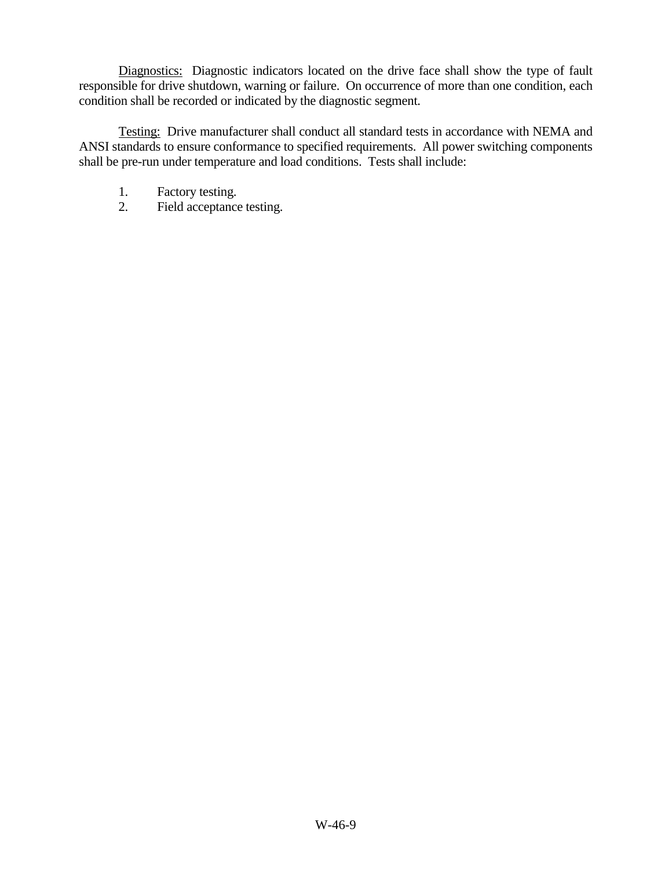Diagnostics: Diagnostic indicators located on the drive face shall show the type of fault responsible for drive shutdown, warning or failure. On occurrence of more than one condition, each condition shall be recorded or indicated by the diagnostic segment.

Testing: Drive manufacturer shall conduct all standard tests in accordance with NEMA and ANSI standards to ensure conformance to specified requirements. All power switching components shall be pre-run under temperature and load conditions. Tests shall include:

- 1. Factory testing.
- 2. Field acceptance testing.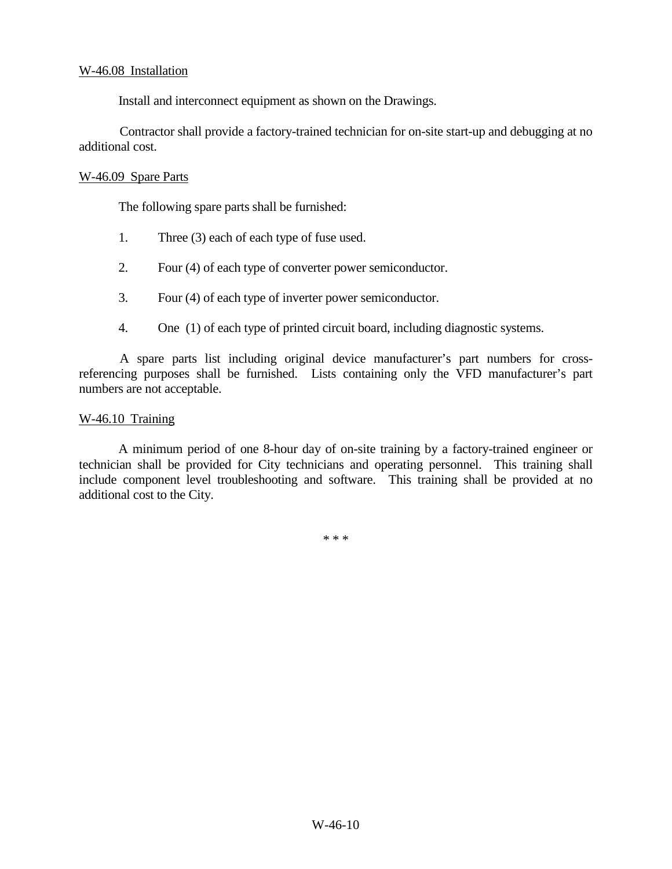#### W-46.08 Installation

Install and interconnect equipment as shown on the Drawings.

Contractor shall provide a factory-trained technician for on-site start-up and debugging at no additional cost.

#### W-46.09 Spare Parts

The following spare parts shall be furnished:

- 1. Three (3) each of each type of fuse used.
- 2. Four (4) of each type of converter power semiconductor.
- 3. Four (4) of each type of inverter power semiconductor.
- 4. One (1) of each type of printed circuit board, including diagnostic systems.

A spare parts list including original device manufacturer's part numbers for crossreferencing purposes shall be furnished. Lists containing only the VFD manufacturer's part numbers are not acceptable.

#### W-46.10 Training

A minimum period of one 8-hour day of on-site training by a factory-trained engineer or technician shall be provided for City technicians and operating personnel. This training shall include component level troubleshooting and software. This training shall be provided at no additional cost to the City.

\* \* \*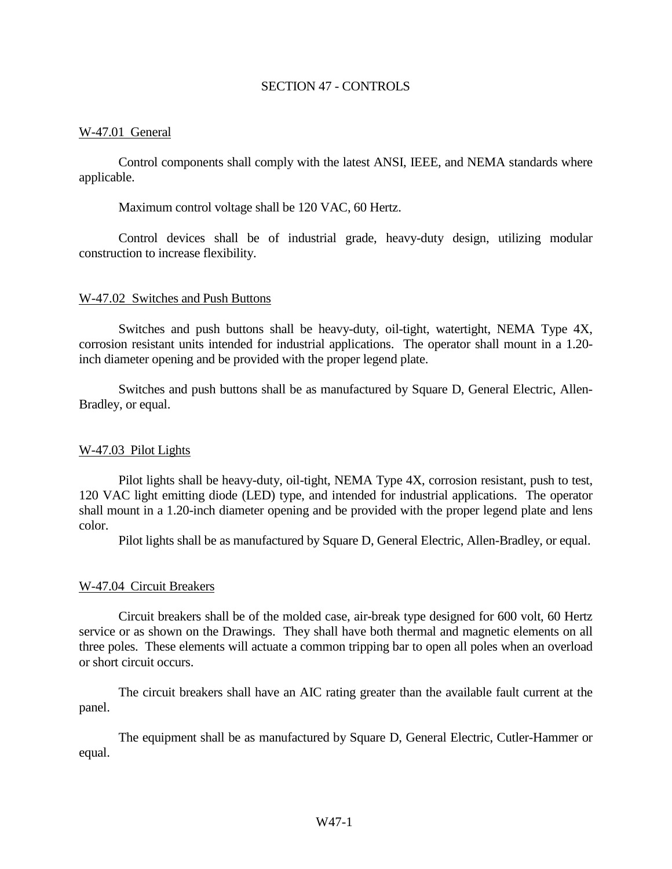#### SECTION 47 - CONTROLS

#### W-47.01 General

Control components shall comply with the latest ANSI, IEEE, and NEMA standards where applicable.

Maximum control voltage shall be 120 VAC, 60 Hertz.

Control devices shall be of industrial grade, heavy-duty design, utilizing modular construction to increase flexibility.

#### W-47.02 Switches and Push Buttons

Switches and push buttons shall be heavy-duty, oil-tight, watertight, NEMA Type 4X, corrosion resistant units intended for industrial applications. The operator shall mount in a 1.20 inch diameter opening and be provided with the proper legend plate.

Switches and push buttons shall be as manufactured by Square D, General Electric, Allen-Bradley, or equal.

#### W-47.03 Pilot Lights

Pilot lights shall be heavy-duty, oil-tight, NEMA Type 4X, corrosion resistant, push to test, 120 VAC light emitting diode (LED) type, and intended for industrial applications. The operator shall mount in a 1.20-inch diameter opening and be provided with the proper legend plate and lens color.

Pilot lights shall be as manufactured by Square D, General Electric, Allen-Bradley, or equal.

#### W-47.04 Circuit Breakers

Circuit breakers shall be of the molded case, air-break type designed for 600 volt, 60 Hertz service or as shown on the Drawings. They shall have both thermal and magnetic elements on all three poles. These elements will actuate a common tripping bar to open all poles when an overload or short circuit occurs.

The circuit breakers shall have an AIC rating greater than the available fault current at the panel.

The equipment shall be as manufactured by Square D, General Electric, Cutler-Hammer or equal.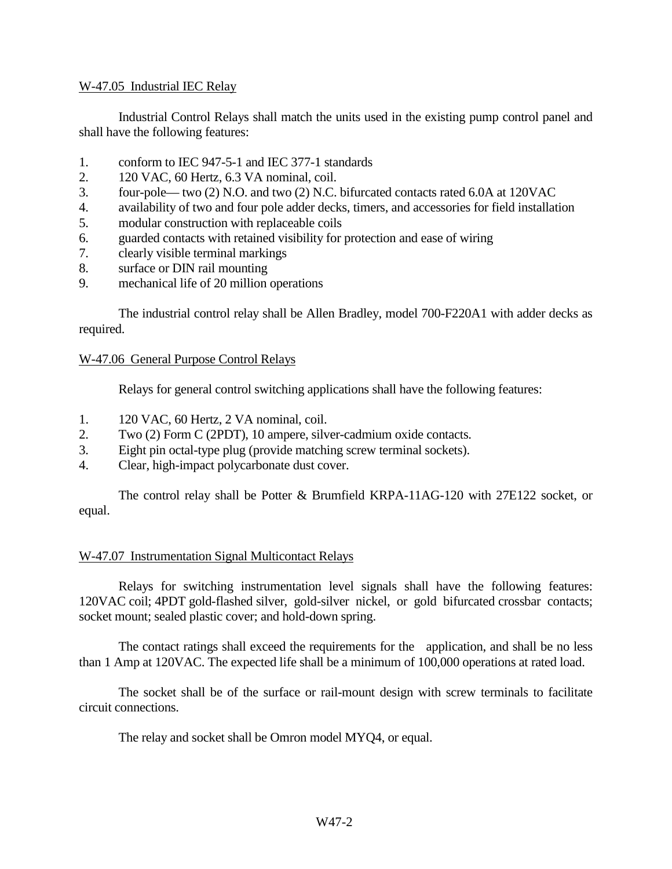#### W-47.05 Industrial IEC Relay

Industrial Control Relays shall match the units used in the existing pump control panel and shall have the following features:

- 1. conform to IEC 947-5-1 and IEC 377-1 standards
- 2. 120 VAC, 60 Hertz, 6.3 VA nominal, coil.
- 3. four-pole— two (2) N.O. and two (2) N.C. bifurcated contacts rated 6.0A at 120VAC
- 4. availability of two and four pole adder decks, timers, and accessories for field installation
- 5. modular construction with replaceable coils
- 6. guarded contacts with retained visibility for protection and ease of wiring
- 7. clearly visible terminal markings
- 8. surface or DIN rail mounting
- 9. mechanical life of 20 million operations

The industrial control relay shall be Allen Bradley, model 700-F220A1 with adder decks as required.

#### W-47.06 General Purpose Control Relays

Relays for general control switching applications shall have the following features:

- 1. 120 VAC, 60 Hertz, 2 VA nominal, coil.
- 2. Two (2) Form C (2PDT), 10 ampere, silver-cadmium oxide contacts.
- 3. Eight pin octal-type plug (provide matching screw terminal sockets).
- 4. Clear, high-impact polycarbonate dust cover.

The control relay shall be Potter & Brumfield KRPA-11AG-120 with 27E122 socket, or equal.

#### W-47.07 Instrumentation Signal Multicontact Relays

Relays for switching instrumentation level signals shall have the following features: 120VAC coil; 4PDT gold-flashed silver, gold-silver nickel, or gold bifurcated crossbar contacts; socket mount; sealed plastic cover; and hold-down spring.

The contact ratings shall exceed the requirements for the application, and shall be no less than 1 Amp at 120VAC. The expected life shall be a minimum of 100,000 operations at rated load.

The socket shall be of the surface or rail-mount design with screw terminals to facilitate circuit connections.

The relay and socket shall be Omron model MYQ4, or equal.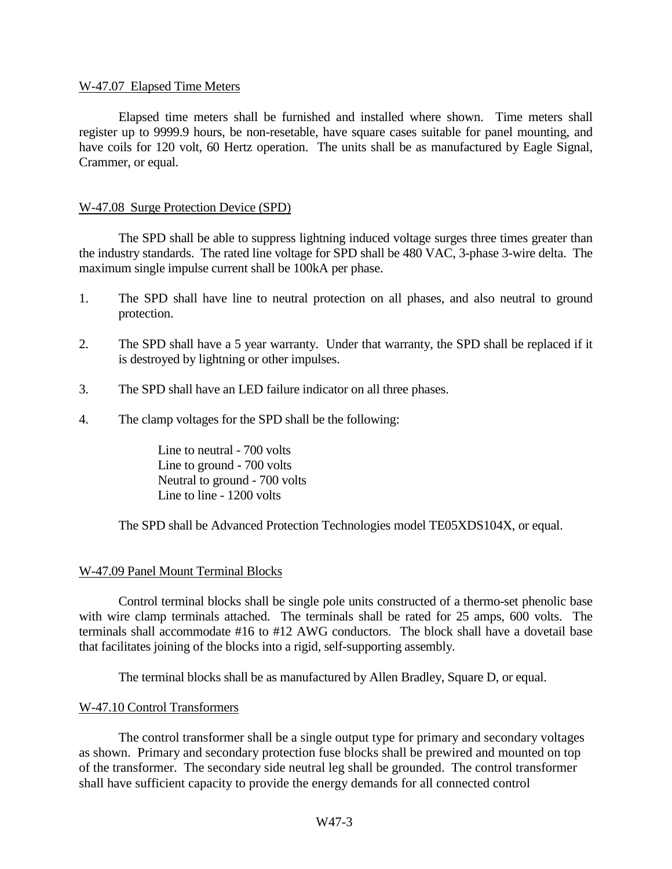#### W-47.07 Elapsed Time Meters

Elapsed time meters shall be furnished and installed where shown. Time meters shall register up to 9999.9 hours, be non-resetable, have square cases suitable for panel mounting, and have coils for 120 volt, 60 Hertz operation. The units shall be as manufactured by Eagle Signal, Crammer, or equal.

#### W-47.08 Surge Protection Device (SPD)

The SPD shall be able to suppress lightning induced voltage surges three times greater than the industry standards. The rated line voltage for SPD shall be 480 VAC, 3-phase 3-wire delta. The maximum single impulse current shall be 100kA per phase.

- 1. The SPD shall have line to neutral protection on all phases, and also neutral to ground protection.
- 2. The SPD shall have a 5 year warranty. Under that warranty, the SPD shall be replaced if it is destroyed by lightning or other impulses.
- 3. The SPD shall have an LED failure indicator on all three phases.
- 4. The clamp voltages for the SPD shall be the following:

Line to neutral - 700 volts Line to ground - 700 volts Neutral to ground - 700 volts Line to line - 1200 volts

The SPD shall be Advanced Protection Technologies model TE05XDS104X, or equal.

#### W-47.09 Panel Mount Terminal Blocks

Control terminal blocks shall be single pole units constructed of a thermo-set phenolic base with wire clamp terminals attached. The terminals shall be rated for 25 amps, 600 volts. The terminals shall accommodate #16 to #12 AWG conductors. The block shall have a dovetail base that facilitates joining of the blocks into a rigid, self-supporting assembly.

The terminal blocks shall be as manufactured by Allen Bradley, Square D, or equal.

#### W-47.10 Control Transformers

The control transformer shall be a single output type for primary and secondary voltages as shown. Primary and secondary protection fuse blocks shall be prewired and mounted on top of the transformer. The secondary side neutral leg shall be grounded. The control transformer shall have sufficient capacity to provide the energy demands for all connected control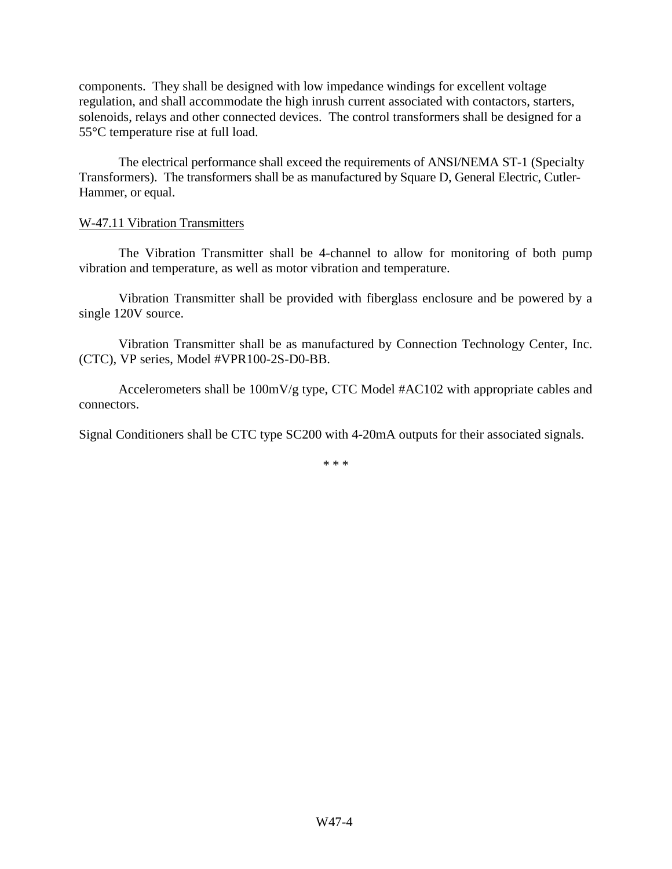components. They shall be designed with low impedance windings for excellent voltage regulation, and shall accommodate the high inrush current associated with contactors, starters, solenoids, relays and other connected devices. The control transformers shall be designed for a 55°C temperature rise at full load.

The electrical performance shall exceed the requirements of ANSI/NEMA ST-1 (Specialty Transformers). The transformers shall be as manufactured by Square D, General Electric, Cutler-Hammer, or equal.

#### W-47.11 Vibration Transmitters

The Vibration Transmitter shall be 4-channel to allow for monitoring of both pump vibration and temperature, as well as motor vibration and temperature.

Vibration Transmitter shall be provided with fiberglass enclosure and be powered by a single 120V source.

Vibration Transmitter shall be as manufactured by Connection Technology Center, Inc. (CTC), VP series, Model #VPR100-2S-D0-BB.

Accelerometers shall be 100mV/g type, CTC Model #AC102 with appropriate cables and connectors.

Signal Conditioners shall be CTC type SC200 with 4-20mA outputs for their associated signals.

\* \* \*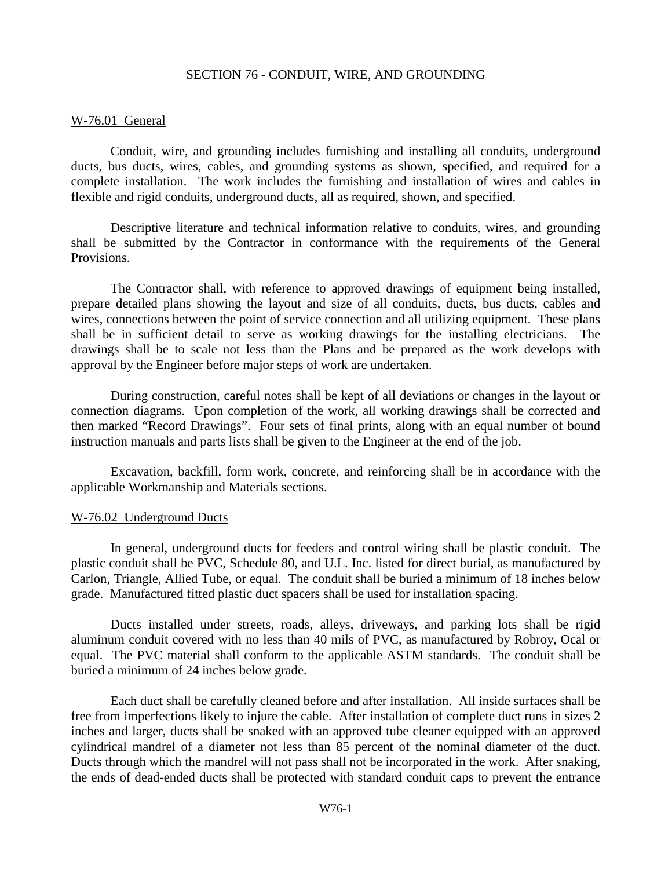#### SECTION 76 - CONDUIT, WIRE, AND GROUNDING

#### W-76.01 General

Conduit, wire, and grounding includes furnishing and installing all conduits, underground ducts, bus ducts, wires, cables, and grounding systems as shown, specified, and required for a complete installation. The work includes the furnishing and installation of wires and cables in flexible and rigid conduits, underground ducts, all as required, shown, and specified.

Descriptive literature and technical information relative to conduits, wires, and grounding shall be submitted by the Contractor in conformance with the requirements of the General Provisions.

The Contractor shall, with reference to approved drawings of equipment being installed, prepare detailed plans showing the layout and size of all conduits, ducts, bus ducts, cables and wires, connections between the point of service connection and all utilizing equipment. These plans shall be in sufficient detail to serve as working drawings for the installing electricians. The drawings shall be to scale not less than the Plans and be prepared as the work develops with approval by the Engineer before major steps of work are undertaken.

During construction, careful notes shall be kept of all deviations or changes in the layout or connection diagrams. Upon completion of the work, all working drawings shall be corrected and then marked "Record Drawings". Four sets of final prints, along with an equal number of bound instruction manuals and parts lists shall be given to the Engineer at the end of the job.

Excavation, backfill, form work, concrete, and reinforcing shall be in accordance with the applicable Workmanship and Materials sections.

#### W-76.02 Underground Ducts

In general, underground ducts for feeders and control wiring shall be plastic conduit. The plastic conduit shall be PVC, Schedule 80, and U.L. Inc. listed for direct burial, as manufactured by Carlon, Triangle, Allied Tube, or equal. The conduit shall be buried a minimum of 18 inches below grade. Manufactured fitted plastic duct spacers shall be used for installation spacing.

Ducts installed under streets, roads, alleys, driveways, and parking lots shall be rigid aluminum conduit covered with no less than 40 mils of PVC, as manufactured by Robroy, Ocal or equal. The PVC material shall conform to the applicable ASTM standards. The conduit shall be buried a minimum of 24 inches below grade.

Each duct shall be carefully cleaned before and after installation. All inside surfaces shall be free from imperfections likely to injure the cable. After installation of complete duct runs in sizes 2 inches and larger, ducts shall be snaked with an approved tube cleaner equipped with an approved cylindrical mandrel of a diameter not less than 85 percent of the nominal diameter of the duct. Ducts through which the mandrel will not pass shall not be incorporated in the work. After snaking, the ends of dead-ended ducts shall be protected with standard conduit caps to prevent the entrance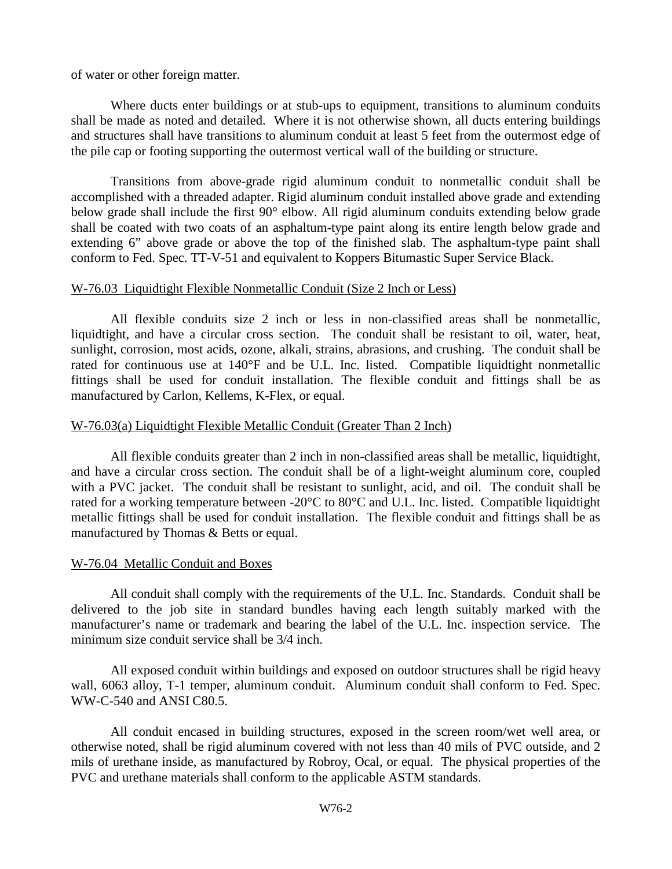of water or other foreign matter.

Where ducts enter buildings or at stub-ups to equipment, transitions to aluminum conduits shall be made as noted and detailed. Where it is not otherwise shown, all ducts entering buildings and structures shall have transitions to aluminum conduit at least 5 feet from the outermost edge of the pile cap or footing supporting the outermost vertical wall of the building or structure.

Transitions from above-grade rigid aluminum conduit to nonmetallic conduit shall be accomplished with a threaded adapter. Rigid aluminum conduit installed above grade and extending below grade shall include the first 90° elbow. All rigid aluminum conduits extending below grade shall be coated with two coats of an asphaltum-type paint along its entire length below grade and extending 6" above grade or above the top of the finished slab. The asphaltum-type paint shall conform to Fed. Spec. TT-V-51 and equivalent to Koppers Bitumastic Super Service Black.

#### W-76.03 Liquidtight Flexible Nonmetallic Conduit (Size 2 Inch or Less)

All flexible conduits size 2 inch or less in non-classified areas shall be nonmetallic, liquidtight, and have a circular cross section. The conduit shall be resistant to oil, water, heat, sunlight, corrosion, most acids, ozone, alkali, strains, abrasions, and crushing. The conduit shall be rated for continuous use at 140°F and be U.L. Inc. listed. Compatible liquidtight nonmetallic fittings shall be used for conduit installation. The flexible conduit and fittings shall be as manufactured by Carlon, Kellems, K-Flex, or equal.

#### W-76.03(a) Liquidtight Flexible Metallic Conduit (Greater Than 2 Inch)

All flexible conduits greater than 2 inch in non-classified areas shall be metallic, liquidtight, and have a circular cross section. The conduit shall be of a light-weight aluminum core, coupled with a PVC jacket. The conduit shall be resistant to sunlight, acid, and oil. The conduit shall be rated for a working temperature between -20°C to 80°C and U.L. Inc. listed. Compatible liquidtight metallic fittings shall be used for conduit installation. The flexible conduit and fittings shall be as manufactured by Thomas & Betts or equal.

#### W-76.04 Metallic Conduit and Boxes

All conduit shall comply with the requirements of the U.L. Inc. Standards. Conduit shall be delivered to the job site in standard bundles having each length suitably marked with the manufacturer's name or trademark and bearing the label of the U.L. Inc. inspection service. The minimum size conduit service shall be 3/4 inch.

All exposed conduit within buildings and exposed on outdoor structures shall be rigid heavy wall, 6063 alloy, T-1 temper, aluminum conduit. Aluminum conduit shall conform to Fed. Spec. WW-C-540 and ANSI C80.5.

All conduit encased in building structures, exposed in the screen room/wet well area, or otherwise noted, shall be rigid aluminum covered with not less than 40 mils of PVC outside, and 2 mils of urethane inside, as manufactured by Robroy, Ocal, or equal. The physical properties of the PVC and urethane materials shall conform to the applicable ASTM standards.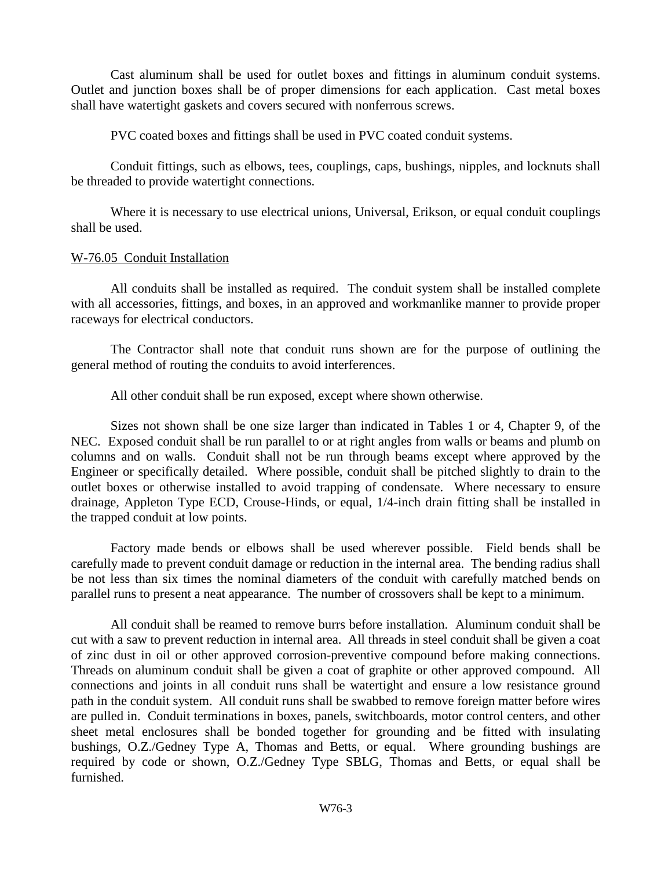Cast aluminum shall be used for outlet boxes and fittings in aluminum conduit systems. Outlet and junction boxes shall be of proper dimensions for each application. Cast metal boxes shall have watertight gaskets and covers secured with nonferrous screws.

PVC coated boxes and fittings shall be used in PVC coated conduit systems.

Conduit fittings, such as elbows, tees, couplings, caps, bushings, nipples, and locknuts shall be threaded to provide watertight connections.

Where it is necessary to use electrical unions, Universal, Erikson, or equal conduit couplings shall be used.

## W-76.05 Conduit Installation

All conduits shall be installed as required. The conduit system shall be installed complete with all accessories, fittings, and boxes, in an approved and workmanlike manner to provide proper raceways for electrical conductors.

The Contractor shall note that conduit runs shown are for the purpose of outlining the general method of routing the conduits to avoid interferences.

All other conduit shall be run exposed, except where shown otherwise.

Sizes not shown shall be one size larger than indicated in Tables 1 or 4, Chapter 9, of the NEC. Exposed conduit shall be run parallel to or at right angles from walls or beams and plumb on columns and on walls. Conduit shall not be run through beams except where approved by the Engineer or specifically detailed. Where possible, conduit shall be pitched slightly to drain to the outlet boxes or otherwise installed to avoid trapping of condensate. Where necessary to ensure drainage, Appleton Type ECD, Crouse-Hinds, or equal, 1/4-inch drain fitting shall be installed in the trapped conduit at low points.

Factory made bends or elbows shall be used wherever possible. Field bends shall be carefully made to prevent conduit damage or reduction in the internal area. The bending radius shall be not less than six times the nominal diameters of the conduit with carefully matched bends on parallel runs to present a neat appearance. The number of crossovers shall be kept to a minimum.

All conduit shall be reamed to remove burrs before installation. Aluminum conduit shall be cut with a saw to prevent reduction in internal area. All threads in steel conduit shall be given a coat of zinc dust in oil or other approved corrosion-preventive compound before making connections. Threads on aluminum conduit shall be given a coat of graphite or other approved compound. All connections and joints in all conduit runs shall be watertight and ensure a low resistance ground path in the conduit system. All conduit runs shall be swabbed to remove foreign matter before wires are pulled in. Conduit terminations in boxes, panels, switchboards, motor control centers, and other sheet metal enclosures shall be bonded together for grounding and be fitted with insulating bushings, O.Z./Gedney Type A, Thomas and Betts, or equal. Where grounding bushings are required by code or shown, O.Z./Gedney Type SBLG, Thomas and Betts, or equal shall be furnished.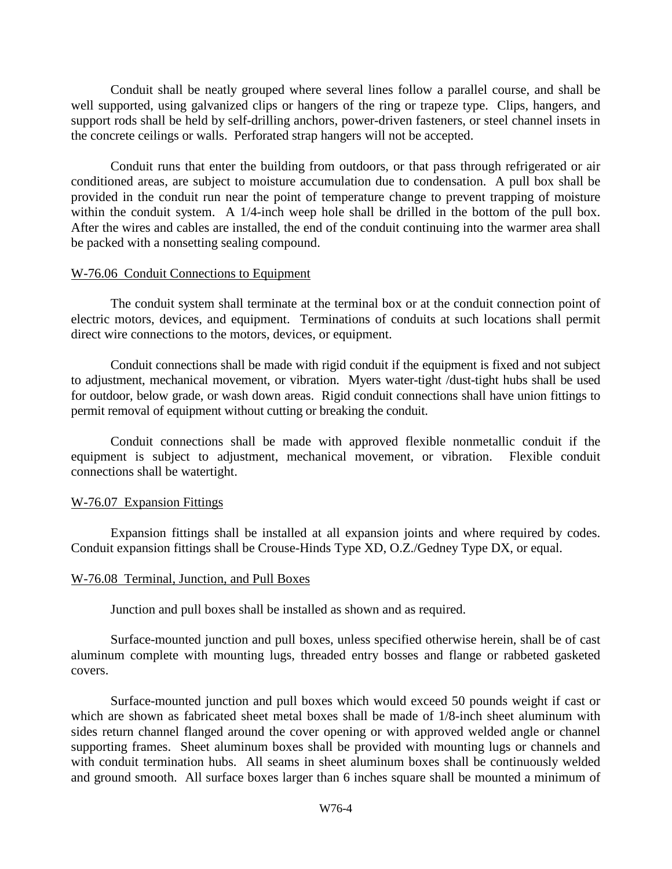Conduit shall be neatly grouped where several lines follow a parallel course, and shall be well supported, using galvanized clips or hangers of the ring or trapeze type. Clips, hangers, and support rods shall be held by self-drilling anchors, power-driven fasteners, or steel channel insets in the concrete ceilings or walls. Perforated strap hangers will not be accepted.

Conduit runs that enter the building from outdoors, or that pass through refrigerated or air conditioned areas, are subject to moisture accumulation due to condensation. A pull box shall be provided in the conduit run near the point of temperature change to prevent trapping of moisture within the conduit system. A 1/4-inch weep hole shall be drilled in the bottom of the pull box. After the wires and cables are installed, the end of the conduit continuing into the warmer area shall be packed with a nonsetting sealing compound.

#### W-76.06 Conduit Connections to Equipment

The conduit system shall terminate at the terminal box or at the conduit connection point of electric motors, devices, and equipment. Terminations of conduits at such locations shall permit direct wire connections to the motors, devices, or equipment.

Conduit connections shall be made with rigid conduit if the equipment is fixed and not subject to adjustment, mechanical movement, or vibration. Myers water-tight /dust-tight hubs shall be used for outdoor, below grade, or wash down areas. Rigid conduit connections shall have union fittings to permit removal of equipment without cutting or breaking the conduit.

Conduit connections shall be made with approved flexible nonmetallic conduit if the equipment is subject to adjustment, mechanical movement, or vibration. Flexible conduit connections shall be watertight.

#### W-76.07 Expansion Fittings

Expansion fittings shall be installed at all expansion joints and where required by codes. Conduit expansion fittings shall be Crouse-Hinds Type XD, O.Z./Gedney Type DX, or equal.

#### W-76.08 Terminal, Junction, and Pull Boxes

Junction and pull boxes shall be installed as shown and as required.

Surface-mounted junction and pull boxes, unless specified otherwise herein, shall be of cast aluminum complete with mounting lugs, threaded entry bosses and flange or rabbeted gasketed covers.

Surface-mounted junction and pull boxes which would exceed 50 pounds weight if cast or which are shown as fabricated sheet metal boxes shall be made of 1/8-inch sheet aluminum with sides return channel flanged around the cover opening or with approved welded angle or channel supporting frames. Sheet aluminum boxes shall be provided with mounting lugs or channels and with conduit termination hubs. All seams in sheet aluminum boxes shall be continuously welded and ground smooth. All surface boxes larger than 6 inches square shall be mounted a minimum of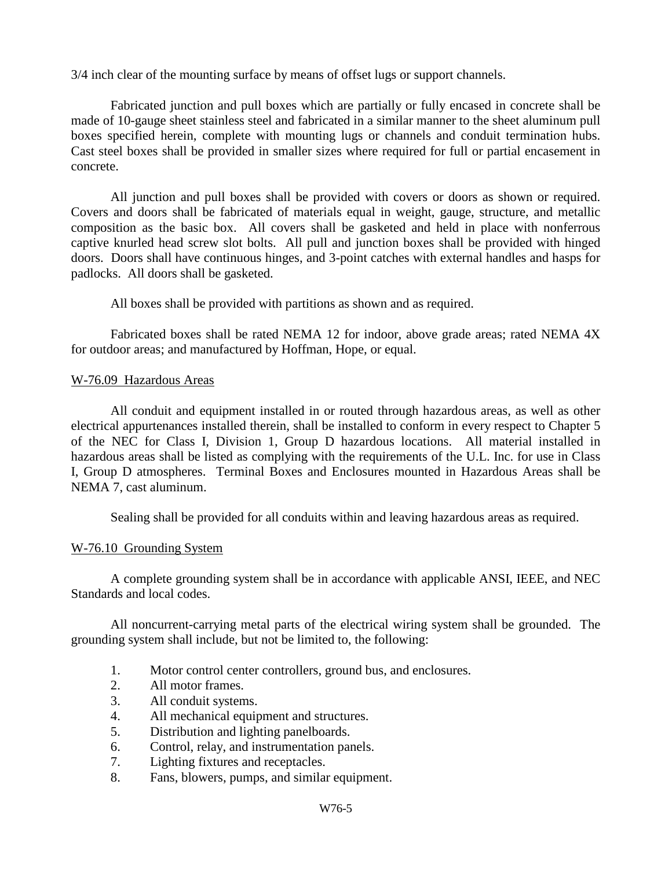3/4 inch clear of the mounting surface by means of offset lugs or support channels.

Fabricated junction and pull boxes which are partially or fully encased in concrete shall be made of 10-gauge sheet stainless steel and fabricated in a similar manner to the sheet aluminum pull boxes specified herein, complete with mounting lugs or channels and conduit termination hubs. Cast steel boxes shall be provided in smaller sizes where required for full or partial encasement in concrete.

All junction and pull boxes shall be provided with covers or doors as shown or required. Covers and doors shall be fabricated of materials equal in weight, gauge, structure, and metallic composition as the basic box. All covers shall be gasketed and held in place with nonferrous captive knurled head screw slot bolts. All pull and junction boxes shall be provided with hinged doors. Doors shall have continuous hinges, and 3-point catches with external handles and hasps for padlocks. All doors shall be gasketed.

All boxes shall be provided with partitions as shown and as required.

Fabricated boxes shall be rated NEMA 12 for indoor, above grade areas; rated NEMA 4X for outdoor areas; and manufactured by Hoffman, Hope, or equal.

#### W-76.09 Hazardous Areas

All conduit and equipment installed in or routed through hazardous areas, as well as other electrical appurtenances installed therein, shall be installed to conform in every respect to Chapter 5 of the NEC for Class I, Division 1, Group D hazardous locations. All material installed in hazardous areas shall be listed as complying with the requirements of the U.L. Inc. for use in Class I, Group D atmospheres. Terminal Boxes and Enclosures mounted in Hazardous Areas shall be NEMA 7, cast aluminum.

Sealing shall be provided for all conduits within and leaving hazardous areas as required.

#### W-76.10 Grounding System

A complete grounding system shall be in accordance with applicable ANSI, IEEE, and NEC Standards and local codes.

All noncurrent-carrying metal parts of the electrical wiring system shall be grounded. The grounding system shall include, but not be limited to, the following:

- 1. Motor control center controllers, ground bus, and enclosures.
- 2. All motor frames.
- 3. All conduit systems.
- 4. All mechanical equipment and structures.
- 5. Distribution and lighting panelboards.
- 6. Control, relay, and instrumentation panels.
- 7. Lighting fixtures and receptacles.
- 8. Fans, blowers, pumps, and similar equipment.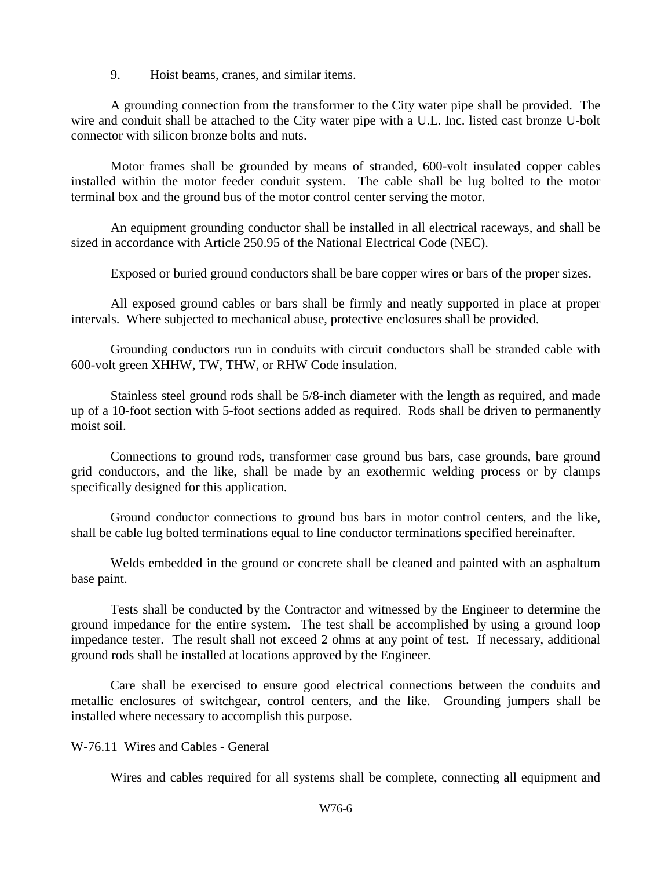9. Hoist beams, cranes, and similar items.

A grounding connection from the transformer to the City water pipe shall be provided. The wire and conduit shall be attached to the City water pipe with a U.L. Inc. listed cast bronze U-bolt connector with silicon bronze bolts and nuts.

Motor frames shall be grounded by means of stranded, 600-volt insulated copper cables installed within the motor feeder conduit system. The cable shall be lug bolted to the motor terminal box and the ground bus of the motor control center serving the motor.

An equipment grounding conductor shall be installed in all electrical raceways, and shall be sized in accordance with Article 250.95 of the National Electrical Code (NEC).

Exposed or buried ground conductors shall be bare copper wires or bars of the proper sizes.

All exposed ground cables or bars shall be firmly and neatly supported in place at proper intervals. Where subjected to mechanical abuse, protective enclosures shall be provided.

Grounding conductors run in conduits with circuit conductors shall be stranded cable with 600-volt green XHHW, TW, THW, or RHW Code insulation.

Stainless steel ground rods shall be 5/8-inch diameter with the length as required, and made up of a 10-foot section with 5-foot sections added as required. Rods shall be driven to permanently moist soil.

Connections to ground rods, transformer case ground bus bars, case grounds, bare ground grid conductors, and the like, shall be made by an exothermic welding process or by clamps specifically designed for this application.

Ground conductor connections to ground bus bars in motor control centers, and the like, shall be cable lug bolted terminations equal to line conductor terminations specified hereinafter.

Welds embedded in the ground or concrete shall be cleaned and painted with an asphaltum base paint.

Tests shall be conducted by the Contractor and witnessed by the Engineer to determine the ground impedance for the entire system. The test shall be accomplished by using a ground loop impedance tester. The result shall not exceed 2 ohms at any point of test. If necessary, additional ground rods shall be installed at locations approved by the Engineer.

Care shall be exercised to ensure good electrical connections between the conduits and metallic enclosures of switchgear, control centers, and the like. Grounding jumpers shall be installed where necessary to accomplish this purpose.

#### W-76.11 Wires and Cables - General

Wires and cables required for all systems shall be complete, connecting all equipment and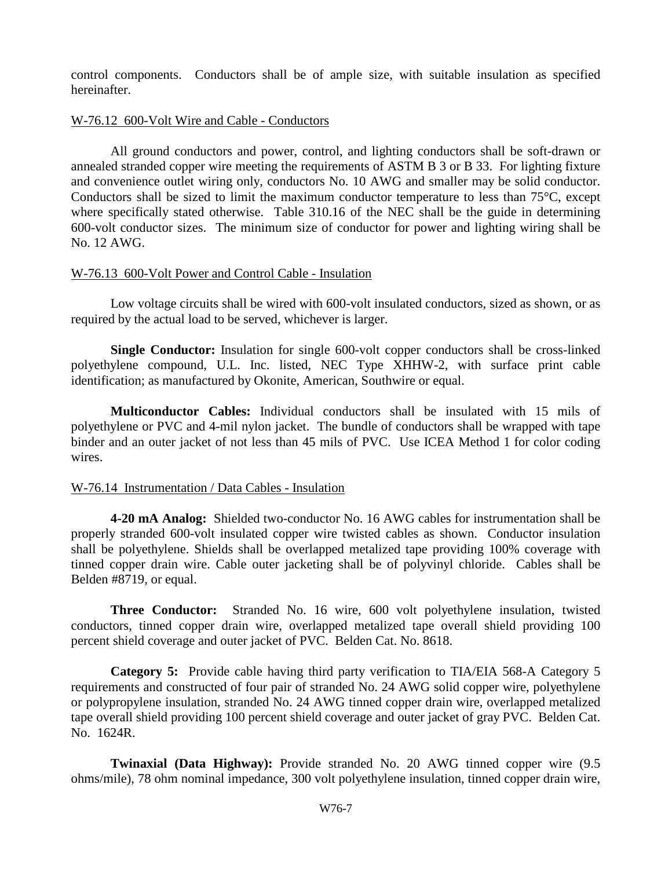control components. Conductors shall be of ample size, with suitable insulation as specified hereinafter.

#### W-76.12 600-Volt Wire and Cable - Conductors

All ground conductors and power, control, and lighting conductors shall be soft-drawn or annealed stranded copper wire meeting the requirements of ASTM B 3 or B 33. For lighting fixture and convenience outlet wiring only, conductors No. 10 AWG and smaller may be solid conductor. Conductors shall be sized to limit the maximum conductor temperature to less than 75°C, except where specifically stated otherwise. Table 310.16 of the NEC shall be the guide in determining 600-volt conductor sizes. The minimum size of conductor for power and lighting wiring shall be No. 12 AWG.

#### W-76.13 600-Volt Power and Control Cable - Insulation

Low voltage circuits shall be wired with 600-volt insulated conductors, sized as shown, or as required by the actual load to be served, whichever is larger.

**Single Conductor:** Insulation for single 600-volt copper conductors shall be cross-linked polyethylene compound, U.L. Inc. listed, NEC Type XHHW-2, with surface print cable identification; as manufactured by Okonite, American, Southwire or equal.

**Multiconductor Cables:** Individual conductors shall be insulated with 15 mils of polyethylene or PVC and 4-mil nylon jacket. The bundle of conductors shall be wrapped with tape binder and an outer jacket of not less than 45 mils of PVC. Use ICEA Method 1 for color coding wires.

#### W-76.14 Instrumentation / Data Cables - Insulation

**4-20 mA Analog:** Shielded two-conductor No. 16 AWG cables for instrumentation shall be properly stranded 600-volt insulated copper wire twisted cables as shown. Conductor insulation shall be polyethylene. Shields shall be overlapped metalized tape providing 100% coverage with tinned copper drain wire. Cable outer jacketing shall be of polyvinyl chloride. Cables shall be Belden #8719, or equal.

**Three Conductor:** Stranded No. 16 wire, 600 volt polyethylene insulation, twisted conductors, tinned copper drain wire, overlapped metalized tape overall shield providing 100 percent shield coverage and outer jacket of PVC. Belden Cat. No. 8618.

**Category 5:** Provide cable having third party verification to TIA/EIA 568-A Category 5 requirements and constructed of four pair of stranded No. 24 AWG solid copper wire, polyethylene or polypropylene insulation, stranded No. 24 AWG tinned copper drain wire, overlapped metalized tape overall shield providing 100 percent shield coverage and outer jacket of gray PVC. Belden Cat. No. 1624R.

**Twinaxial (Data Highway):** Provide stranded No. 20 AWG tinned copper wire (9.5 ohms/mile), 78 ohm nominal impedance, 300 volt polyethylene insulation, tinned copper drain wire,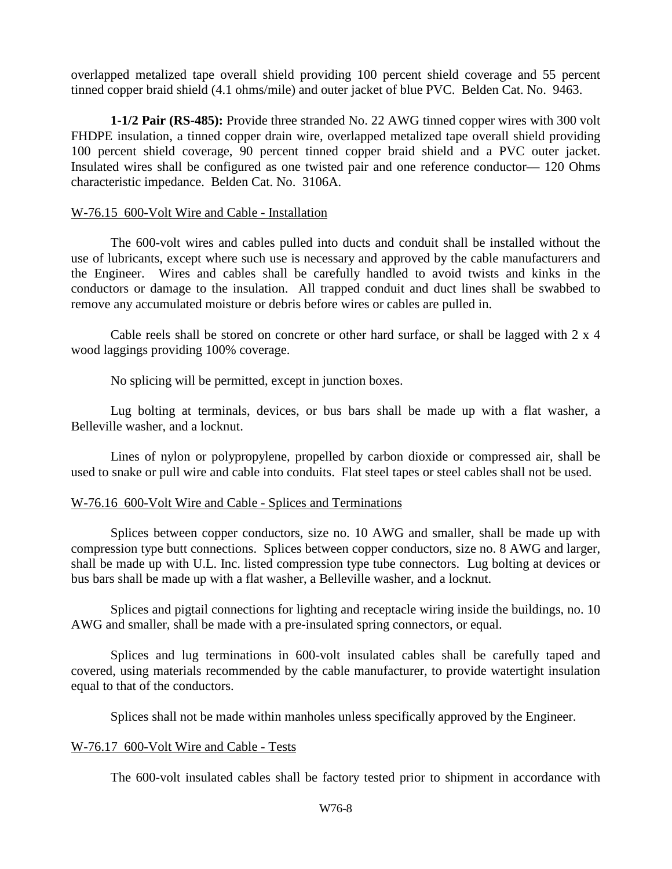overlapped metalized tape overall shield providing 100 percent shield coverage and 55 percent tinned copper braid shield (4.1 ohms/mile) and outer jacket of blue PVC. Belden Cat. No. 9463.

**1-1/2 Pair (RS-485):** Provide three stranded No. 22 AWG tinned copper wires with 300 volt FHDPE insulation, a tinned copper drain wire, overlapped metalized tape overall shield providing 100 percent shield coverage, 90 percent tinned copper braid shield and a PVC outer jacket. Insulated wires shall be configured as one twisted pair and one reference conductor— 120 Ohms characteristic impedance. Belden Cat. No. 3106A.

#### W-76.15 600-Volt Wire and Cable - Installation

The 600-volt wires and cables pulled into ducts and conduit shall be installed without the use of lubricants, except where such use is necessary and approved by the cable manufacturers and the Engineer. Wires and cables shall be carefully handled to avoid twists and kinks in the conductors or damage to the insulation. All trapped conduit and duct lines shall be swabbed to remove any accumulated moisture or debris before wires or cables are pulled in.

Cable reels shall be stored on concrete or other hard surface, or shall be lagged with 2 x 4 wood laggings providing 100% coverage.

No splicing will be permitted, except in junction boxes.

Lug bolting at terminals, devices, or bus bars shall be made up with a flat washer, a Belleville washer, and a locknut.

Lines of nylon or polypropylene, propelled by carbon dioxide or compressed air, shall be used to snake or pull wire and cable into conduits. Flat steel tapes or steel cables shall not be used.

#### W-76.16 600-Volt Wire and Cable - Splices and Terminations

Splices between copper conductors, size no. 10 AWG and smaller, shall be made up with compression type butt connections. Splices between copper conductors, size no. 8 AWG and larger, shall be made up with U.L. Inc. listed compression type tube connectors. Lug bolting at devices or bus bars shall be made up with a flat washer, a Belleville washer, and a locknut.

Splices and pigtail connections for lighting and receptacle wiring inside the buildings, no. 10 AWG and smaller, shall be made with a pre-insulated spring connectors, or equal.

Splices and lug terminations in 600-volt insulated cables shall be carefully taped and covered, using materials recommended by the cable manufacturer, to provide watertight insulation equal to that of the conductors.

Splices shall not be made within manholes unless specifically approved by the Engineer.

#### W-76.17 600-Volt Wire and Cable - Tests

The 600-volt insulated cables shall be factory tested prior to shipment in accordance with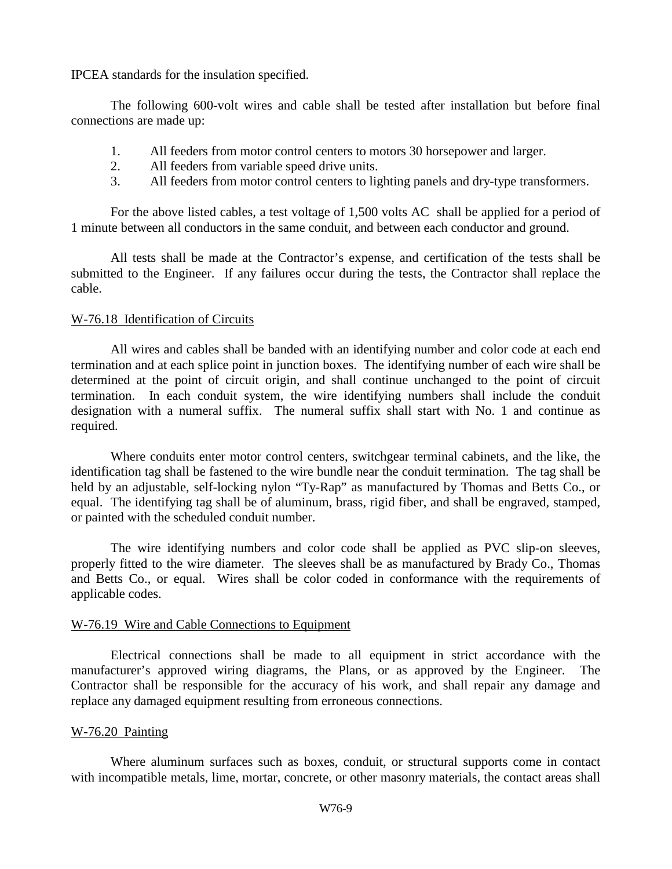IPCEA standards for the insulation specified.

The following 600-volt wires and cable shall be tested after installation but before final connections are made up:

- 1. All feeders from motor control centers to motors 30 horsepower and larger.
- 2. All feeders from variable speed drive units.
- 3. All feeders from motor control centers to lighting panels and dry-type transformers.

For the above listed cables, a test voltage of 1,500 volts AC shall be applied for a period of 1 minute between all conductors in the same conduit, and between each conductor and ground.

All tests shall be made at the Contractor's expense, and certification of the tests shall be submitted to the Engineer. If any failures occur during the tests, the Contractor shall replace the cable.

#### W-76.18 Identification of Circuits

All wires and cables shall be banded with an identifying number and color code at each end termination and at each splice point in junction boxes. The identifying number of each wire shall be determined at the point of circuit origin, and shall continue unchanged to the point of circuit termination. In each conduit system, the wire identifying numbers shall include the conduit designation with a numeral suffix. The numeral suffix shall start with No. 1 and continue as required.

Where conduits enter motor control centers, switchgear terminal cabinets, and the like, the identification tag shall be fastened to the wire bundle near the conduit termination. The tag shall be held by an adjustable, self-locking nylon "Ty-Rap" as manufactured by Thomas and Betts Co., or equal. The identifying tag shall be of aluminum, brass, rigid fiber, and shall be engraved, stamped, or painted with the scheduled conduit number.

The wire identifying numbers and color code shall be applied as PVC slip-on sleeves, properly fitted to the wire diameter. The sleeves shall be as manufactured by Brady Co., Thomas and Betts Co., or equal. Wires shall be color coded in conformance with the requirements of applicable codes.

#### W-76.19 Wire and Cable Connections to Equipment

Electrical connections shall be made to all equipment in strict accordance with the manufacturer's approved wiring diagrams, the Plans, or as approved by the Engineer. The Contractor shall be responsible for the accuracy of his work, and shall repair any damage and replace any damaged equipment resulting from erroneous connections.

#### W-76.20 Painting

Where aluminum surfaces such as boxes, conduit, or structural supports come in contact with incompatible metals, lime, mortar, concrete, or other masonry materials, the contact areas shall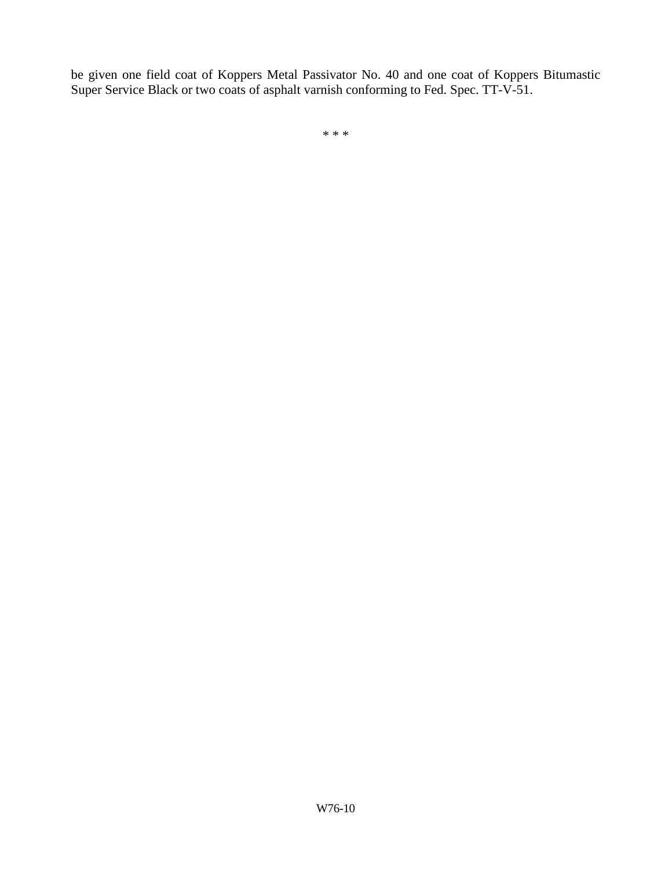be given one field coat of Koppers Metal Passivator No. 40 and one coat of Koppers Bitumastic Super Service Black or two coats of asphalt varnish conforming to Fed. Spec. TT-V-51.

\* \* \*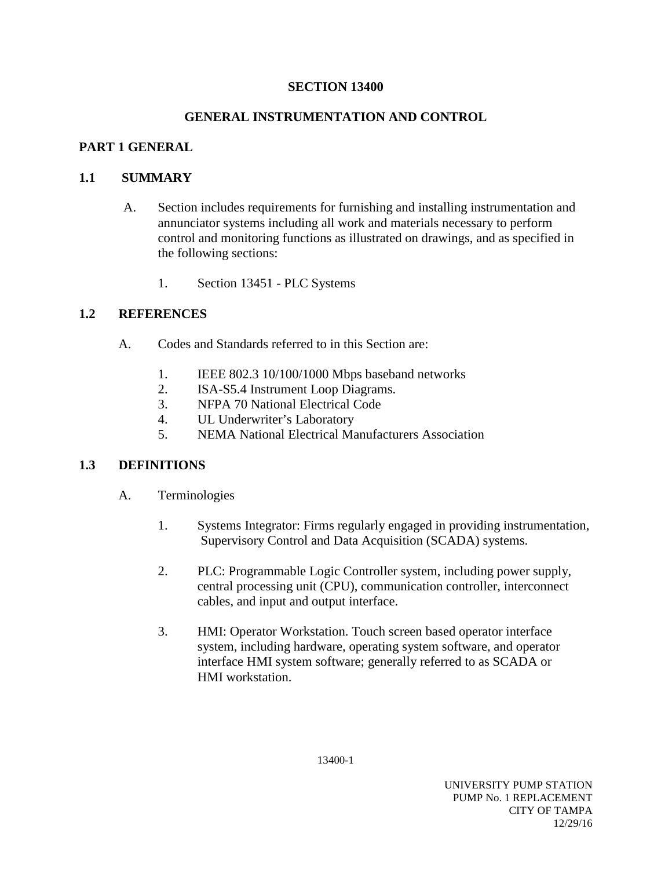### **SECTION 13400**

## **GENERAL INSTRUMENTATION AND CONTROL**

## **PART 1 GENERAL**

## **1.1 SUMMARY**

- A. Section includes requirements for furnishing and installing instrumentation and annunciator systems including all work and materials necessary to perform control and monitoring functions as illustrated on drawings, and as specified in the following sections:
	- 1. Section 13451 PLC Systems

## **1.2 REFERENCES**

- A. Codes and Standards referred to in this Section are:
	- 1. IEEE 802.3 10/100/1000 Mbps baseband networks<br>2. ISA-S5.4 Instrument Loop Diagrams.
	- ISA-S5.4 Instrument Loop Diagrams.
	- 3. NFPA 70 National Electrical Code
	- 4. UL Underwriter's Laboratory
	- 5. NEMA National Electrical Manufacturers Association

## **1.3 DEFINITIONS**

- A. Terminologies
	- 1. Systems Integrator: Firms regularly engaged in providing instrumentation, Supervisory Control and Data Acquisition (SCADA) systems.
	- 2. PLC: Programmable Logic Controller system, including power supply, central processing unit (CPU), communication controller, interconnect cables, and input and output interface.
	- 3. HMI: Operator Workstation. Touch screen based operator interface system, including hardware, operating system software, and operator interface HMI system software; generally referred to as SCADA or HMI workstation.

13400-1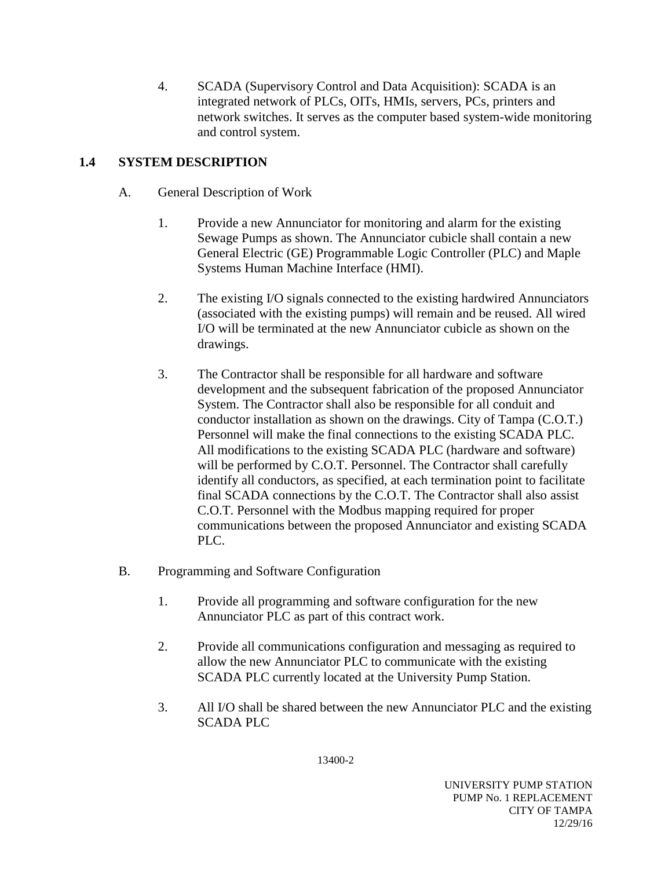4. SCADA (Supervisory Control and Data Acquisition): SCADA is an integrated network of PLCs, OITs, HMIs, servers, PCs, printers and network switches. It serves as the computer based system-wide monitoring and control system.

# **1.4 SYSTEM DESCRIPTION**

- A. General Description of Work
	- 1. Provide a new Annunciator for monitoring and alarm for the existing Sewage Pumps as shown. The Annunciator cubicle shall contain a new General Electric (GE) Programmable Logic Controller (PLC) and Maple Systems Human Machine Interface (HMI).
	- 2. The existing I/O signals connected to the existing hardwired Annunciators (associated with the existing pumps) will remain and be reused. All wired I/O will be terminated at the new Annunciator cubicle as shown on the drawings.
	- 3. The Contractor shall be responsible for all hardware and software development and the subsequent fabrication of the proposed Annunciator System. The Contractor shall also be responsible for all conduit and conductor installation as shown on the drawings. City of Tampa (C.O.T.) Personnel will make the final connections to the existing SCADA PLC. All modifications to the existing SCADA PLC (hardware and software) will be performed by C.O.T. Personnel. The Contractor shall carefully identify all conductors, as specified, at each termination point to facilitate final SCADA connections by the C.O.T. The Contractor shall also assist C.O.T. Personnel with the Modbus mapping required for proper communications between the proposed Annunciator and existing SCADA PLC.
- B. Programming and Software Configuration
	- 1. Provide all programming and software configuration for the new Annunciator PLC as part of this contract work.
	- 2. Provide all communications configuration and messaging as required to allow the new Annunciator PLC to communicate with the existing SCADA PLC currently located at the University Pump Station.
	- 3. All I/O shall be shared between the new Annunciator PLC and the existing SCADA PLC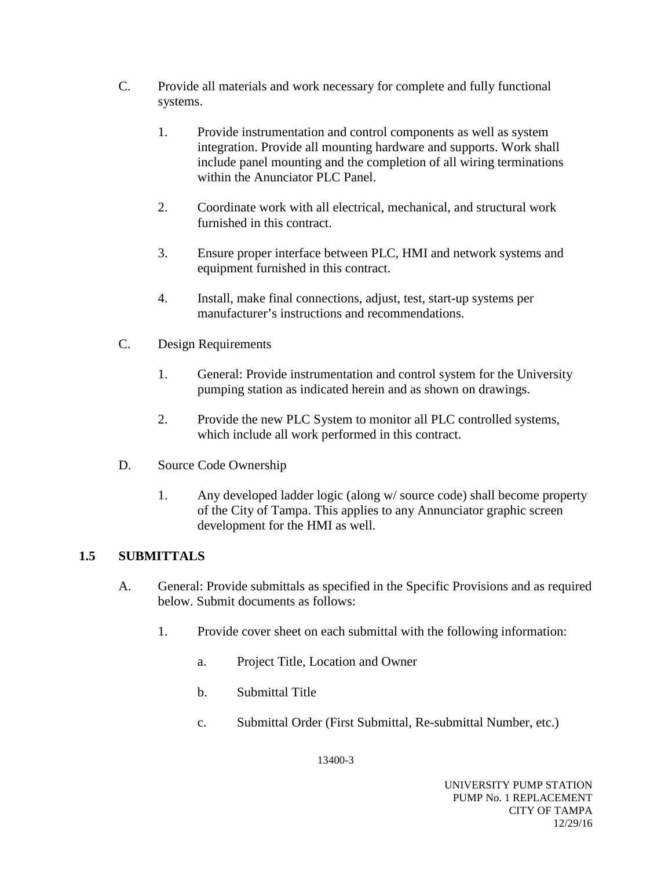- C. Provide all materials and work necessary for complete and fully functional systems.
	- 1. Provide instrumentation and control components as well as system integration. Provide all mounting hardware and supports. Work shall include panel mounting and the completion of all wiring terminations within the Anunciator PLC Panel.
	- 2. Coordinate work with all electrical, mechanical, and structural work furnished in this contract.
	- 3. Ensure proper interface between PLC, HMI and network systems and equipment furnished in this contract.
	- 4. Install, make final connections, adjust, test, start-up systems per manufacturer's instructions and recommendations.
- C. Design Requirements
	- 1. General: Provide instrumentation and control system for the University pumping station as indicated herein and as shown on drawings.
	- 2. Provide the new PLC System to monitor all PLC controlled systems, which include all work performed in this contract.
- D. Source Code Ownership
	- 1. Any developed ladder logic (along w/ source code) shall become property of the City of Tampa. This applies to any Annunciator graphic screen development for the HMI as well.

# **1.5 SUBMITTALS**

- A. General: Provide submittals as specified in the Specific Provisions and as required below. Submit documents as follows:
	- 1. Provide cover sheet on each submittal with the following information:
		- a. Project Title, Location and Owner
		- b. Submittal Title
		- c. Submittal Order (First Submittal, Re-submittal Number, etc.)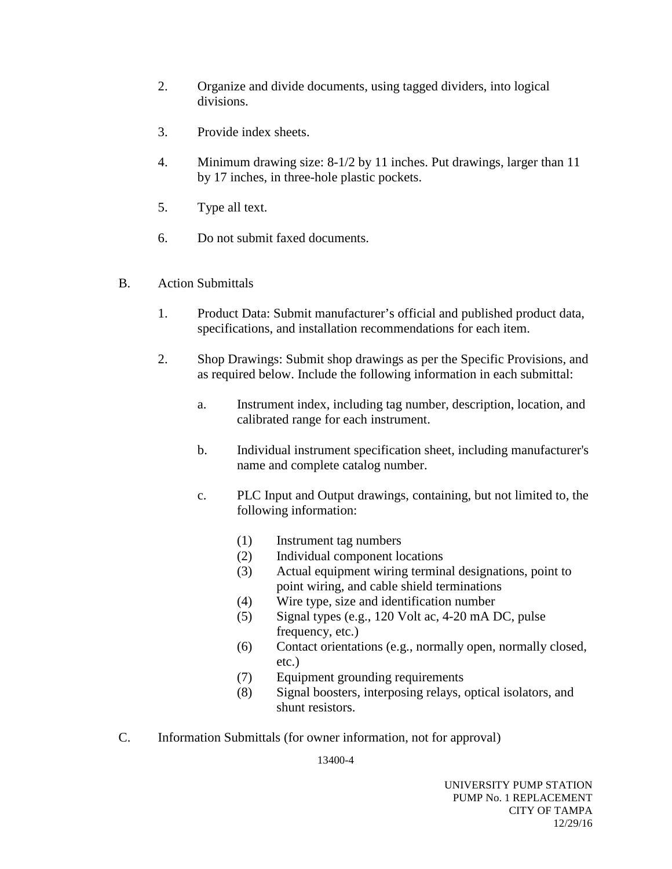- 2. Organize and divide documents, using tagged dividers, into logical divisions.
- 3. Provide index sheets.
- 4. Minimum drawing size: 8-1/2 by 11 inches. Put drawings, larger than 11 by 17 inches, in three-hole plastic pockets.
- 5. Type all text.
- 6. Do not submit faxed documents.
- B. Action Submittals
	- 1. Product Data: Submit manufacturer's official and published product data, specifications, and installation recommendations for each item.
	- 2. Shop Drawings: Submit shop drawings as per the Specific Provisions, and as required below. Include the following information in each submittal:
		- a. Instrument index, including tag number, description, location, and calibrated range for each instrument.
		- b. Individual instrument specification sheet, including manufacturer's name and complete catalog number.
		- c. PLC Input and Output drawings, containing, but not limited to, the following information:
			- (1) Instrument tag numbers
			- (2) Individual component locations
			- (3) Actual equipment wiring terminal designations, point to point wiring, and cable shield terminations
			- (4) Wire type, size and identification number
			- (5) Signal types (e.g., 120 Volt ac, 4-20 mA DC, pulse frequency, etc.)
			- (6) Contact orientations (e.g., normally open, normally closed, etc.)
			- (7) Equipment grounding requirements
			- (8) Signal boosters, interposing relays, optical isolators, and shunt resistors.
- C. Information Submittals (for owner information, not for approval)

13400-4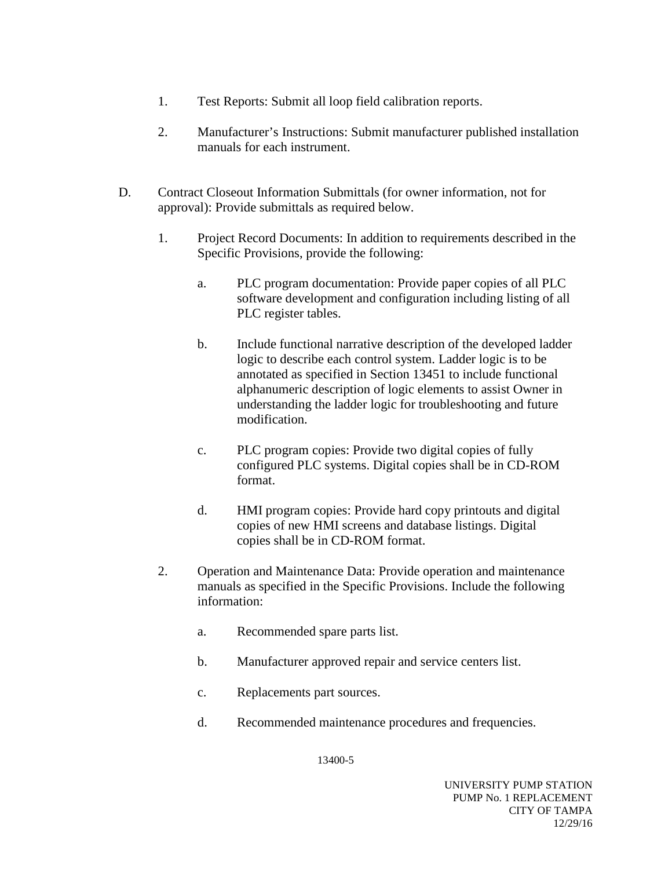- 1. Test Reports: Submit all loop field calibration reports.
- 2. Manufacturer's Instructions: Submit manufacturer published installation manuals for each instrument.
- D. Contract Closeout Information Submittals (for owner information, not for approval): Provide submittals as required below.
	- 1. Project Record Documents: In addition to requirements described in the Specific Provisions, provide the following:
		- a. PLC program documentation: Provide paper copies of all PLC software development and configuration including listing of all PLC register tables.
		- b. Include functional narrative description of the developed ladder logic to describe each control system. Ladder logic is to be annotated as specified in Section 13451 to include functional alphanumeric description of logic elements to assist Owner in understanding the ladder logic for troubleshooting and future modification.
		- c. PLC program copies: Provide two digital copies of fully configured PLC systems. Digital copies shall be in CD-ROM format.
		- d. HMI program copies: Provide hard copy printouts and digital copies of new HMI screens and database listings. Digital copies shall be in CD-ROM format.
	- 2. Operation and Maintenance Data: Provide operation and maintenance manuals as specified in the Specific Provisions. Include the following information:
		- a. Recommended spare parts list.
		- b. Manufacturer approved repair and service centers list.
		- c. Replacements part sources.
		- d. Recommended maintenance procedures and frequencies.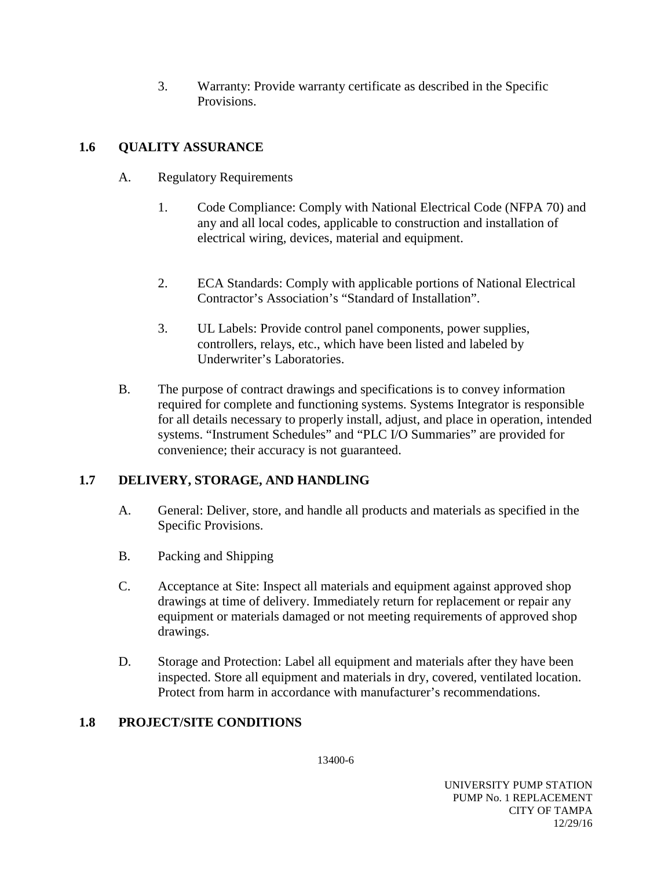3. Warranty: Provide warranty certificate as described in the Specific Provisions.

# **1.6 QUALITY ASSURANCE**

- A. Regulatory Requirements
	- 1. Code Compliance: Comply with National Electrical Code (NFPA 70) and any and all local codes, applicable to construction and installation of electrical wiring, devices, material and equipment.
	- 2. ECA Standards: Comply with applicable portions of National Electrical Contractor's Association's "Standard of Installation".
	- 3. UL Labels: Provide control panel components, power supplies, controllers, relays, etc., which have been listed and labeled by Underwriter's Laboratories.
- B. The purpose of contract drawings and specifications is to convey information required for complete and functioning systems. Systems Integrator is responsible for all details necessary to properly install, adjust, and place in operation, intended systems. "Instrument Schedules" and "PLC I/O Summaries" are provided for convenience; their accuracy is not guaranteed.

# **1.7 DELIVERY, STORAGE, AND HANDLING**

- A. General: Deliver, store, and handle all products and materials as specified in the Specific Provisions.
- B. Packing and Shipping
- C. Acceptance at Site: Inspect all materials and equipment against approved shop drawings at time of delivery. Immediately return for replacement or repair any equipment or materials damaged or not meeting requirements of approved shop drawings.
- D. Storage and Protection: Label all equipment and materials after they have been inspected. Store all equipment and materials in dry, covered, ventilated location. Protect from harm in accordance with manufacturer's recommendations.

# **1.8 PROJECT/SITE CONDITIONS**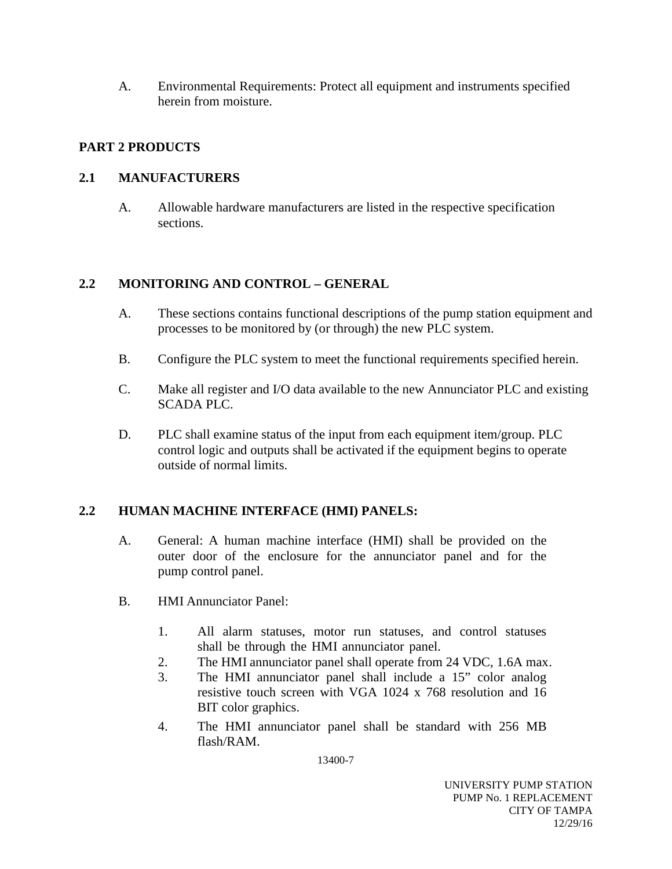A. Environmental Requirements: Protect all equipment and instruments specified herein from moisture.

## **PART 2 PRODUCTS**

## **2.1 MANUFACTURERS**

A. Allowable hardware manufacturers are listed in the respective specification sections.

## **2.2 MONITORING AND CONTROL – GENERAL**

- A. These sections contains functional descriptions of the pump station equipment and processes to be monitored by (or through) the new PLC system.
- B. Configure the PLC system to meet the functional requirements specified herein.
- C. Make all register and I/O data available to the new Annunciator PLC and existing SCADA PLC.
- D. PLC shall examine status of the input from each equipment item/group. PLC control logic and outputs shall be activated if the equipment begins to operate outside of normal limits.

## **2.2 HUMAN MACHINE INTERFACE (HMI) PANELS:**

- A. General: A human machine interface (HMI) shall be provided on the outer door of the enclosure for the annunciator panel and for the pump control panel.
- B. HMI Annunciator Panel:
	- 1. All alarm statuses, motor run statuses, and control statuses shall be through the HMI annunciator panel.
	- 2. The HMI annunciator panel shall operate from 24 VDC, 1.6A max.
	- 3. The HMI annunciator panel shall include a 15" color analog resistive touch screen with VGA 1024 x 768 resolution and 16 BIT color graphics.
	- 4. The HMI annunciator panel shall be standard with 256 MB flash/RAM.

13400-7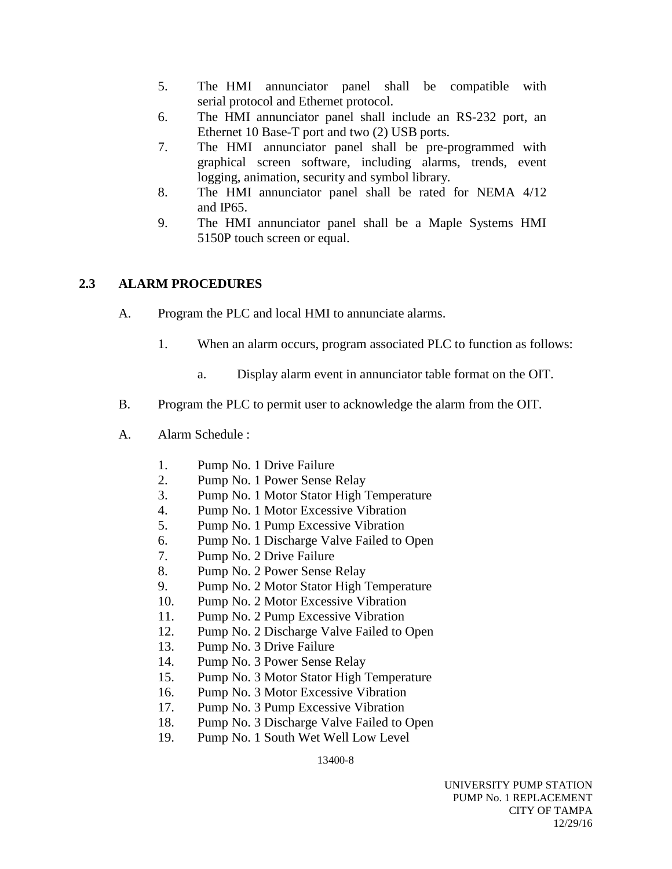- 5. The HMI annunciator panel shall be compatible with serial protocol and Ethernet protocol.
- 6. The HMI annunciator panel shall include an RS-232 port, an Ethernet 10 Base-T port and two (2) USB ports.
- 7. The HMI annunciator panel shall be pre-programmed with graphical screen software, including alarms, trends, event logging, animation, security and symbol library.
- 8. The HMI annunciator panel shall be rated for NEMA 4/12 and IP65.
- 9. The HMI annunciator panel shall be a Maple Systems HMI 5150P touch screen or equal.

## **2.3 ALARM PROCEDURES**

- A. Program the PLC and local HMI to annunciate alarms.
	- 1. When an alarm occurs, program associated PLC to function as follows:
		- a. Display alarm event in annunciator table format on the OIT.
- B. Program the PLC to permit user to acknowledge the alarm from the OIT.
- A. Alarm Schedule :
	- 1. Pump No. 1 Drive Failure
	- 2. Pump No. 1 Power Sense Relay
	- 3. Pump No. 1 Motor Stator High Temperature
	- 4. Pump No. 1 Motor Excessive Vibration
	- 5. Pump No. 1 Pump Excessive Vibration
	- 6. Pump No. 1 Discharge Valve Failed to Open
	- 7. Pump No. 2 Drive Failure
	- 8. Pump No. 2 Power Sense Relay
	- 9. Pump No. 2 Motor Stator High Temperature
	- 10. Pump No. 2 Motor Excessive Vibration
	- 11. Pump No. 2 Pump Excessive Vibration
	- 12. Pump No. 2 Discharge Valve Failed to Open
	- 13. Pump No. 3 Drive Failure
	- 14. Pump No. 3 Power Sense Relay
	- 15. Pump No. 3 Motor Stator High Temperature
	- 16. Pump No. 3 Motor Excessive Vibration
	- 17. Pump No. 3 Pump Excessive Vibration
	- 18. Pump No. 3 Discharge Valve Failed to Open
	- 19. Pump No. 1 South Wet Well Low Level

13400-8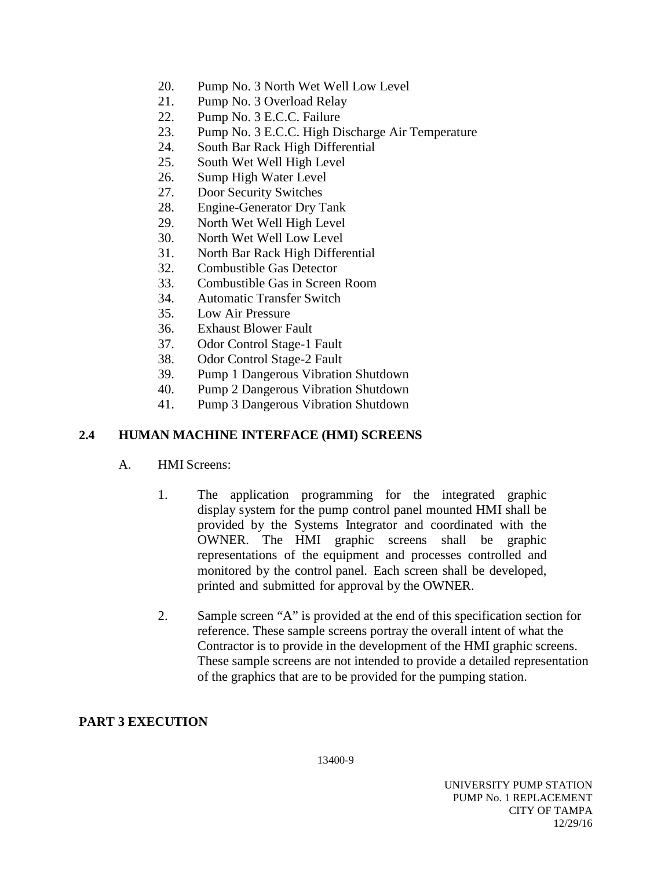- 20. Pump No. 3 North Wet Well Low Level
- 21. Pump No. 3 Overload Relay
- 22. Pump No. 3 E.C.C. Failure
- 23. Pump No. 3 E.C.C. High Discharge Air Temperature
- 24. South Bar Rack High Differential
- 25. South Wet Well High Level
- 26. Sump High Water Level
- 27. Door Security Switches
- 28. Engine-Generator Dry Tank
- 29. North Wet Well High Level
- 30. North Wet Well Low Level
- 31. North Bar Rack High Differential
- 32. Combustible Gas Detector
- 33. Combustible Gas in Screen Room
- 34. Automatic Transfer Switch
- 35. Low Air Pressure
- 36. Exhaust Blower Fault
- 37. Odor Control Stage-1 Fault
- 38. Odor Control Stage-2 Fault
- 39. Pump 1 Dangerous Vibration Shutdown
- 40. Pump 2 Dangerous Vibration Shutdown
- 41. Pump 3 Dangerous Vibration Shutdown

## **2.4 HUMAN MACHINE INTERFACE (HMI) SCREENS**

- A. HMI Screens:
	- 1. The application programming for the integrated graphic display system for the pump control panel mounted HMI shall be provided by the Systems Integrator and coordinated with the OWNER. The HMI graphic screens shall be graphic representations of the equipment and processes controlled and monitored by the control panel. Each screen shall be developed, printed and submitted for approval by the OWNER.
	- 2. Sample screen "A" is provided at the end of this specification section for reference. These sample screens portray the overall intent of what the Contractor is to provide in the development of the HMI graphic screens. These sample screens are not intended to provide a detailed representation of the graphics that are to be provided for the pumping station.

#### **PART 3 EXECUTION**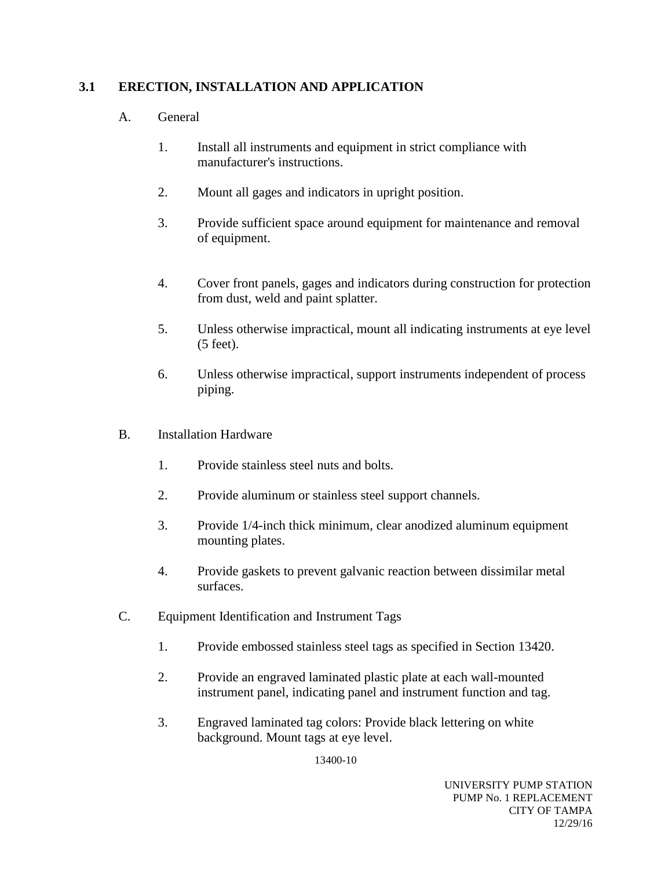## **3.1 ERECTION, INSTALLATION AND APPLICATION**

### A. General

- 1. Install all instruments and equipment in strict compliance with manufacturer's instructions.
- 2. Mount all gages and indicators in upright position.
- 3. Provide sufficient space around equipment for maintenance and removal of equipment.
- 4. Cover front panels, gages and indicators during construction for protection from dust, weld and paint splatter.
- 5. Unless otherwise impractical, mount all indicating instruments at eye level (5 feet).
- 6. Unless otherwise impractical, support instruments independent of process piping.
- B. Installation Hardware
	- 1. Provide stainless steel nuts and bolts.
	- 2. Provide aluminum or stainless steel support channels.
	- 3. Provide 1/4-inch thick minimum, clear anodized aluminum equipment mounting plates.
	- 4. Provide gaskets to prevent galvanic reaction between dissimilar metal surfaces.
- C. Equipment Identification and Instrument Tags
	- 1. Provide embossed stainless steel tags as specified in Section 13420.
	- 2. Provide an engraved laminated plastic plate at each wall-mounted instrument panel, indicating panel and instrument function and tag.
	- 3. Engraved laminated tag colors: Provide black lettering on white background. Mount tags at eye level.

13400-10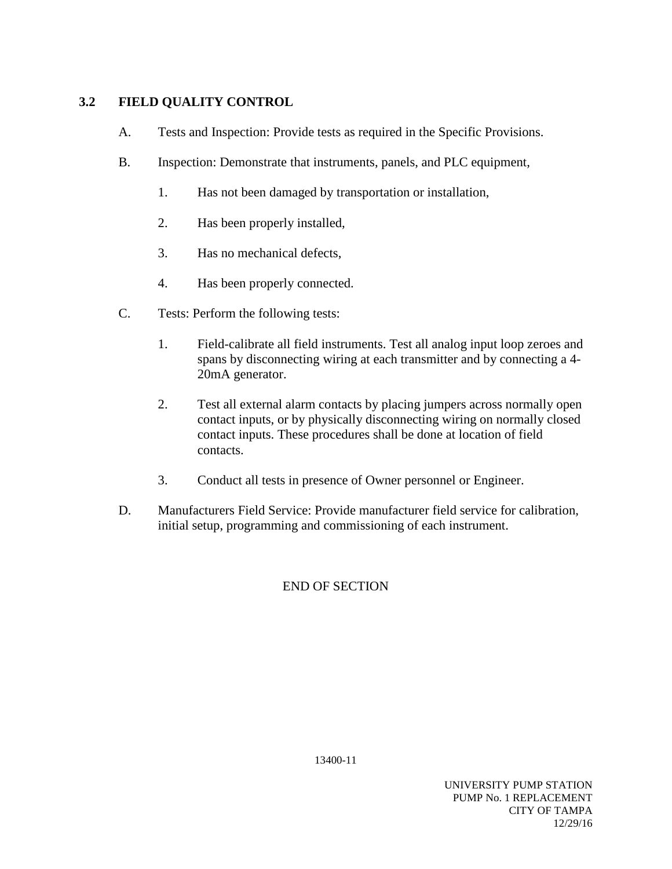## **3.2 FIELD QUALITY CONTROL**

- A. Tests and Inspection: Provide tests as required in the Specific Provisions.
- B. Inspection: Demonstrate that instruments, panels, and PLC equipment,
	- 1. Has not been damaged by transportation or installation,
	- 2. Has been properly installed,
	- 3. Has no mechanical defects,
	- 4. Has been properly connected.
- C. Tests: Perform the following tests:
	- 1. Field-calibrate all field instruments. Test all analog input loop zeroes and spans by disconnecting wiring at each transmitter and by connecting a 4- 20mA generator.
	- 2. Test all external alarm contacts by placing jumpers across normally open contact inputs, or by physically disconnecting wiring on normally closed contact inputs. These procedures shall be done at location of field contacts.
	- 3. Conduct all tests in presence of Owner personnel or Engineer.
- D. Manufacturers Field Service: Provide manufacturer field service for calibration, initial setup, programming and commissioning of each instrument.

## END OF SECTION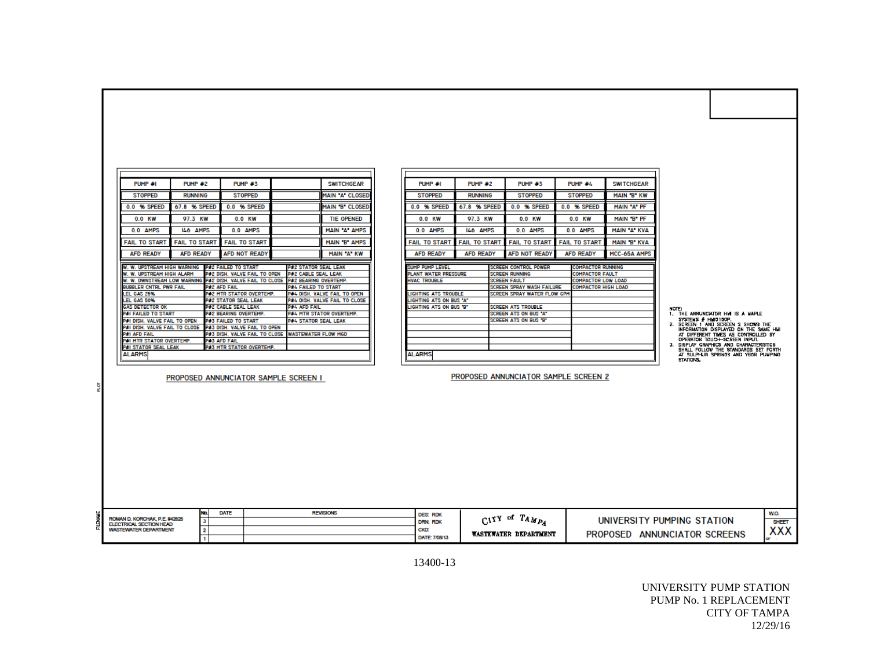|    | PUMP #1                                                                                  | PUMP #2              |                                                            | PUMP #3                                           |                                                    | <b>SWITCHGEAR</b>                                             |  | PUMP #1                                         | PUMP #2              |               | <b>PUMP #3</b>                         | PUMP #4              | <b>SWITCHGEAR</b>                           |       |                                                                             |             |
|----|------------------------------------------------------------------------------------------|----------------------|------------------------------------------------------------|---------------------------------------------------|----------------------------------------------------|---------------------------------------------------------------|--|-------------------------------------------------|----------------------|---------------|----------------------------------------|----------------------|---------------------------------------------|-------|-----------------------------------------------------------------------------|-------------|
|    | <b>STOPPED</b>                                                                           | <b>RUNNING</b>       |                                                            | <b>STOPPED</b>                                    |                                                    | <b>MAIN A CLOSED</b>                                          |  | <b>STOPPED</b>                                  | <b>RUNNING</b>       |               | <b>STOPPED</b>                         | <b>STOPPED</b>       | MAIN 'B' KW                                 |       |                                                                             |             |
|    | 0.0 % SPEED                                                                              | 67.8 % SPEED         |                                                            | 0.0 % SPEED                                       |                                                    | MAIN 'B' CLOSED                                               |  | 0.0 % SPEED                                     | 67.8 % SPEED         |               | 0.0 % SPEED                            | 0.0 % SPEED          | MAIN "A" PF                                 |       |                                                                             |             |
|    | 0.0 KW                                                                                   | 97.3 KW              |                                                            | 0.0 KW                                            |                                                    | <b>TIE OPENED</b>                                             |  | 0.0 KW                                          | 97.3 KW              |               | 0.0 KW                                 | 0.0 KW               | MAIN 'B' PF                                 |       |                                                                             |             |
|    | 0.0 AMPS                                                                                 | 146 AMPS             |                                                            | 0.0 AMPS                                          |                                                    | MAIN "A" AMPS                                                 |  | 0.0 AMPS                                        | 146 AMPS             |               | 0.0 AMPS                               | 0.0 AMPS             | MAIN A KVA                                  |       |                                                                             |             |
|    | <b>FAIL TO START</b>                                                                     | <b>FAIL TO START</b> |                                                            | <b>FAIL TO START</b>                              |                                                    | MAIN "B" AMPS                                                 |  | <b>FAIL TO START</b>                            | <b>FAIL TO START</b> |               | <b>FAIL TO START</b>                   | <b>FAIL TO START</b> | MAIN 'B' KVA                                |       |                                                                             |             |
|    | <b>AFD READY</b>                                                                         | <b>AFD READY</b>     |                                                            | AFD NOT READY                                     |                                                    | MAIN "A" KW                                                   |  | <b>AFD READY</b>                                | <b>AFD READY</b>     |               | <b>AFD NOT READY</b>                   | <b>AFD READY</b>     | MCC-65A AMPS                                |       |                                                                             |             |
|    | W. W. UPSTREAM HIGH WARNING<br>W. W. UPSTREAM HIGH ALARM                                 |                      | P#2 FAILED TO START<br><b>2#2 dish. Valve fail to open</b> |                                                   | <b>P#2 STATOR SEAL LEAK</b><br>P#2 CABLE SEAL LEAK |                                                               |  | SUMP PUMP LEVEL<br>PLANT WATER PRESSURE         |                      |               | SCREEN CONTROL POWER<br>SCREEN RUNNING |                      | COMPACTOR RUNNING<br><b>COMPACTOR FAULT</b> |       |                                                                             |             |
|    | W. W. DWNSTREAM LOW WARNING                                                              |                      |                                                            | P#2 DISH. VALVE FAIL TO CLOSE                     | P#2 BEARING OVERTEMP.                              |                                                               |  | <b>HVAC TROUBLE</b>                             |                      |               | <b>SCREEN FAULT</b>                    |                      | <b>COMPACTOR LOW LOAD</b>                   |       |                                                                             |             |
|    | <b>BUBBLER CNTRL PWR FAIL</b>                                                            |                      | P#2 AFD FAIL                                               |                                                   | <b>P#4 FAILED TO START</b>                         |                                                               |  |                                                 |                      |               | SCREEN SPRAY WASH FAILURE              |                      | <b>COMPACTOR HIGH LOAD</b>                  |       |                                                                             |             |
|    | LEL GAS 25%<br><b>LEL GAS 50%</b>                                                        |                      | <b>P#2 STATOR SEAL LEAK</b>                                | <b>P#2 MTR STATOR OVERTEMP.</b>                   |                                                    | P#4 DISH. VALVE FAIL TO OPEN<br>P#4 DISH. VALVE FAIL TO CLOSE |  | LIGHTING ATS TROUBLE<br>LIGHTING ATS ON BUS "A" |                      |               | SCREEN SPRAY WATER FLOW GPM            |                      |                                             |       |                                                                             |             |
|    | <b>GAS DETECTOR OK</b>                                                                   |                      | <b>P#2 CABLE SEAL LEAK</b>                                 |                                                   | <b>P#4 AFD FAIL</b>                                |                                                               |  | LIGHTING ATS ON BUS "B"                         |                      |               | <b>SCREEN ATS TROUBLE</b>              |                      |                                             |       |                                                                             |             |
|    | <b>P#I FAILED TO START</b>                                                               |                      | P#2 BEARING OVERTEMP.                                      |                                                   |                                                    | <b>P#4 MTR STATOR OVERTEMP.</b>                               |  |                                                 |                      |               | SCREEN ATS ON BUS "A"                  |                      |                                             | NOTE: | 1. THE ANNUNCIATOR HW IS A WAPLE                                            |             |
|    | P#I DISH. VALVE FAIL TO OPEN                                                             |                      | P#3 FAILED TO START                                        |                                                   | <b>P#4 STATOR SEAL LEAK</b>                        |                                                               |  |                                                 |                      |               | SCREEN ATS ON BUS "B"                  |                      |                                             |       | SYSTEMS # HMIDISCP.                                                         |             |
|    | P#I DISH. VALVE FAIL TO CLOSE                                                            |                      |                                                            | P#3 DISH. VALVE FAIL TO OPEN                      |                                                    |                                                               |  |                                                 |                      |               |                                        |                      |                                             |       | 2. SCREEN 1 AND SCREEN 2 SHOWS THE<br>INFORMATION DISPLAYED ON THE SAME HUI |             |
|    | <b>P#I AFD FAIL</b>                                                                      |                      |                                                            | P#3 DISH, VALVE FAIL TO CLOSE WASTEWATER FLOW MGD |                                                    |                                                               |  |                                                 |                      |               |                                        |                      |                                             |       | AT DIFFERENT TIMES AS CONTROLLED BY                                         |             |
|    | P#I MTR STATOR OVERTEMP.                                                                 |                      | P#3 AFD FAIL                                               |                                                   |                                                    |                                                               |  |                                                 |                      |               |                                        |                      |                                             | з.    | OPERATOR TOUCH-SCREEN INPUT.<br>DISPLAY GRAPHICS AND CHARACTERISTICS        |             |
|    | P#I STATOR SEAL LEAK                                                                     |                      |                                                            | P#3 MTR STATOR OVERTEMP.                          |                                                    |                                                               |  |                                                 |                      |               |                                        |                      |                                             |       | SHALL FOLLOW THE STANDARDS SET FORTH                                        |             |
|    | <b>ALARMS</b>                                                                            |                      |                                                            |                                                   |                                                    |                                                               |  | <b>ALARMS</b>                                   |                      |               |                                        |                      |                                             |       | AT SULPHUR SPRINGS AND YEAR PUNPING<br>STATIONS.                            |             |
|    |                                                                                          |                      |                                                            |                                                   |                                                    |                                                               |  |                                                 |                      |               | PROPOSED ANNUNCIATOR SAMPLE SCREEN 2   |                      |                                             |       |                                                                             |             |
| हू |                                                                                          |                      |                                                            | PROPOSED ANNUNCIATOR SAMPLE SCREEN I              |                                                    |                                                               |  |                                                 |                      |               |                                        |                      |                                             |       |                                                                             |             |
|    |                                                                                          |                      |                                                            |                                                   |                                                    |                                                               |  |                                                 |                      |               |                                        |                      |                                             |       |                                                                             |             |
|    |                                                                                          |                      |                                                            |                                                   |                                                    |                                                               |  |                                                 |                      |               |                                        |                      |                                             |       |                                                                             |             |
|    |                                                                                          |                      |                                                            |                                                   |                                                    |                                                               |  |                                                 |                      |               |                                        |                      |                                             |       |                                                                             |             |
|    |                                                                                          |                      |                                                            |                                                   |                                                    |                                                               |  |                                                 |                      |               |                                        |                      |                                             |       |                                                                             |             |
|    |                                                                                          |                      |                                                            |                                                   |                                                    |                                                               |  |                                                 |                      |               |                                        |                      |                                             |       |                                                                             |             |
|    |                                                                                          |                      |                                                            |                                                   |                                                    |                                                               |  |                                                 |                      |               |                                        |                      |                                             |       |                                                                             |             |
|    |                                                                                          |                      |                                                            |                                                   |                                                    |                                                               |  |                                                 |                      |               |                                        |                      |                                             |       |                                                                             |             |
|    |                                                                                          |                      |                                                            |                                                   |                                                    |                                                               |  |                                                 |                      |               |                                        |                      |                                             |       |                                                                             |             |
|    |                                                                                          |                      |                                                            |                                                   |                                                    |                                                               |  |                                                 |                      |               |                                        |                      |                                             |       |                                                                             |             |
|    |                                                                                          |                      | DATE<br>No.                                                |                                                   |                                                    | <b>REVISIONS</b>                                              |  | <b>DES: RDK</b>                                 |                      |               |                                        |                      |                                             |       |                                                                             | <b>W.O.</b> |
| 青色 | ROMAN D. KORCHAK, P.E. #42626<br>ELECTRICAL SECTION HEAD<br><b>WASTEWATER DEPARTMENT</b> |                      | $\overline{\mathbf{3}}$                                    |                                                   |                                                    |                                                               |  |                                                 |                      | CITY of TAMPA |                                        |                      |                                             |       | UNIVERSITY PUMPING STATION<br>SHEE                                          |             |
|    |                                                                                          |                      | <b>D</b>                                                   |                                                   |                                                    |                                                               |  | <b>DRN: RDK</b><br><b>CKD:</b>                  |                      |               | WASTEWATER DEPARTMENT                  |                      |                                             |       | XX<br>PROPOSED ANNUNCIATOR SCREENS                                          |             |
|    |                                                                                          |                      |                                                            |                                                   |                                                    |                                                               |  | DATE: 7/08/13                                   |                      |               |                                        |                      |                                             |       |                                                                             | or -        |

 $\begin{array}{c}\n\hline\nw.o. \\
\hline\n\text{SHEET} \\
\text{XXX}\n\end{array}$ 

13400 -13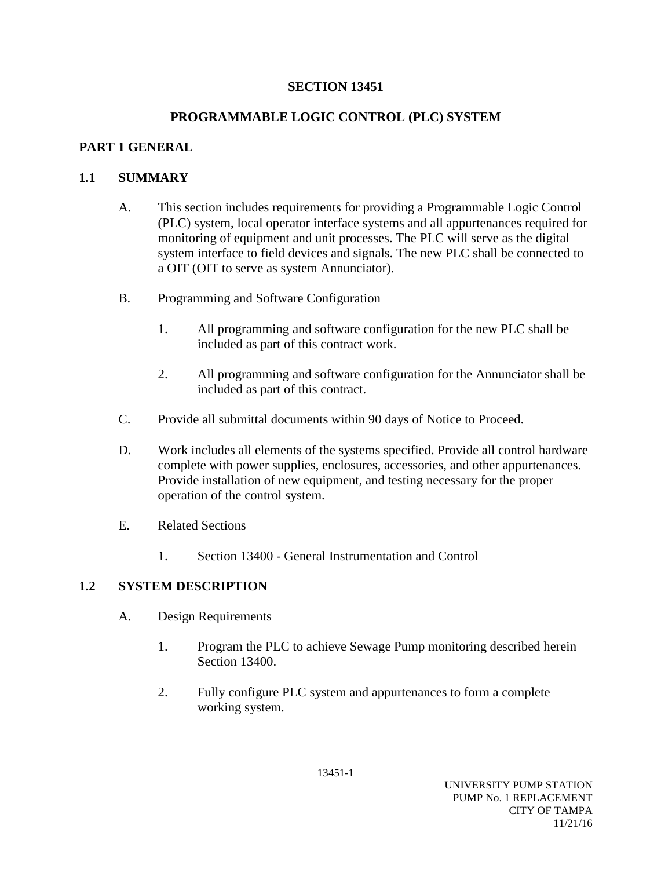## **SECTION 13451**

## **PROGRAMMABLE LOGIC CONTROL (PLC) SYSTEM**

## **PART 1 GENERAL**

## **1.1 SUMMARY**

- A. This section includes requirements for providing a Programmable Logic Control (PLC) system, local operator interface systems and all appurtenances required for monitoring of equipment and unit processes. The PLC will serve as the digital system interface to field devices and signals. The new PLC shall be connected to a OIT (OIT to serve as system Annunciator).
- B. Programming and Software Configuration
	- 1. All programming and software configuration for the new PLC shall be included as part of this contract work.
	- 2. All programming and software configuration for the Annunciator shall be included as part of this contract.
- C. Provide all submittal documents within 90 days of Notice to Proceed.
- D. Work includes all elements of the systems specified. Provide all control hardware complete with power supplies, enclosures, accessories, and other appurtenances. Provide installation of new equipment, and testing necessary for the proper operation of the control system.
- E. Related Sections
	- 1. Section 13400 General Instrumentation and Control

## **1.2 SYSTEM DESCRIPTION**

- A. Design Requirements
	- 1. Program the PLC to achieve Sewage Pump monitoring described herein Section 13400.
	- 2. Fully configure PLC system and appurtenances to form a complete working system.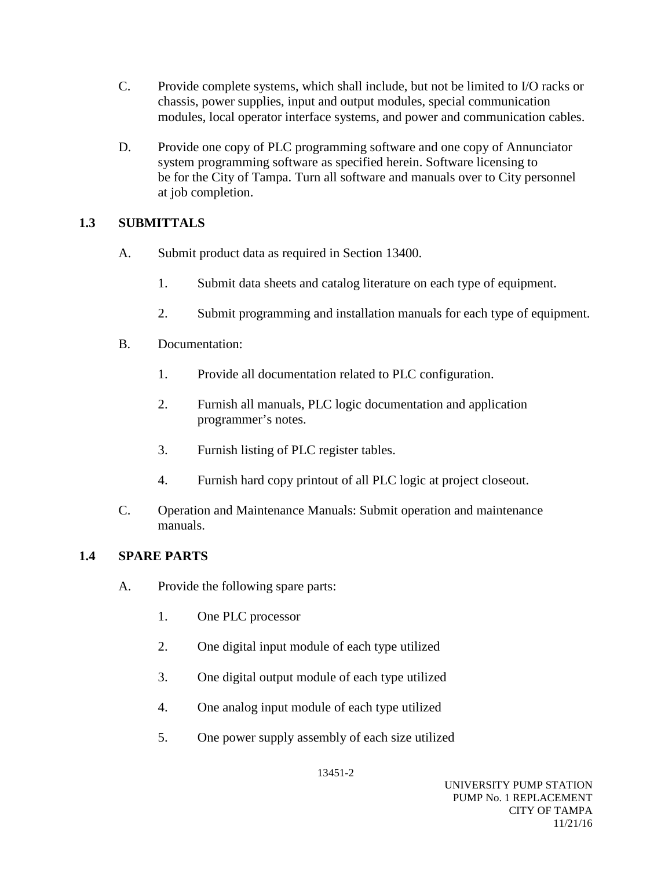- C. Provide complete systems, which shall include, but not be limited to I/O racks or chassis, power supplies, input and output modules, special communication modules, local operator interface systems, and power and communication cables.
- D. Provide one copy of PLC programming software and one copy of Annunciator system programming software as specified herein. Software licensing to be for the City of Tampa. Turn all software and manuals over to City personnel at job completion.

## **1.3 SUBMITTALS**

- A. Submit product data as required in Section 13400.
	- 1. Submit data sheets and catalog literature on each type of equipment.
	- 2. Submit programming and installation manuals for each type of equipment.
- B. Documentation:
	- 1. Provide all documentation related to PLC configuration.
	- 2. Furnish all manuals, PLC logic documentation and application programmer's notes.
	- 3. Furnish listing of PLC register tables.
	- 4. Furnish hard copy printout of all PLC logic at project closeout.
- C. Operation and Maintenance Manuals: Submit operation and maintenance manuals.

## **1.4 SPARE PARTS**

- A. Provide the following spare parts:
	- 1. One PLC processor
	- 2. One digital input module of each type utilized
	- 3. One digital output module of each type utilized
	- 4. One analog input module of each type utilized
	- 5. One power supply assembly of each size utilized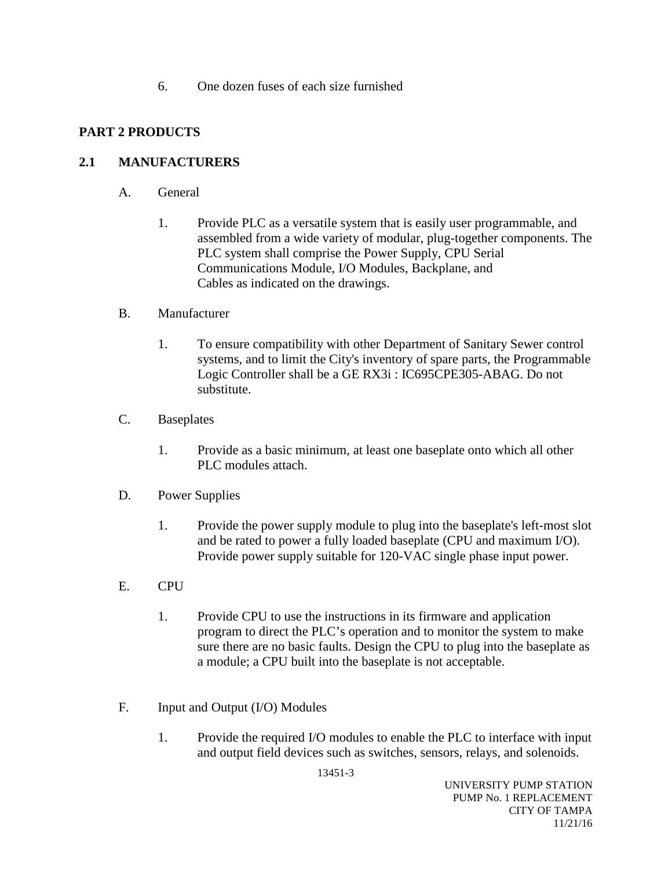6. One dozen fuses of each size furnished

## **PART 2 PRODUCTS**

## **2.1 MANUFACTURERS**

- A. General
	- 1. Provide PLC as a versatile system that is easily user programmable, and assembled from a wide variety of modular, plug-together components. The PLC system shall comprise the Power Supply, CPU Serial Communications Module, I/O Modules, Backplane, and Cables as indicated on the drawings.

#### B. Manufacturer

- 1. To ensure compatibility with other Department of Sanitary Sewer control systems, and to limit the City's inventory of spare parts, the Programmable Logic Controller shall be a GE RX3i : IC695CPE305-ABAG. Do not substitute.
- C. Baseplates
	- 1. Provide as a basic minimum, at least one baseplate onto which all other PLC modules attach.
- D. Power Supplies
	- 1. Provide the power supply module to plug into the baseplate's left-most slot and be rated to power a fully loaded baseplate (CPU and maximum I/O). Provide power supply suitable for 120-VAC single phase input power.
- E. CPU
	- 1. Provide CPU to use the instructions in its firmware and application program to direct the PLC's operation and to monitor the system to make sure there are no basic faults. Design the CPU to plug into the baseplate as a module; a CPU built into the baseplate is not acceptable.
- F. Input and Output (I/O) Modules
	- 1. Provide the required I/O modules to enable the PLC to interface with input and output field devices such as switches, sensors, relays, and solenoids.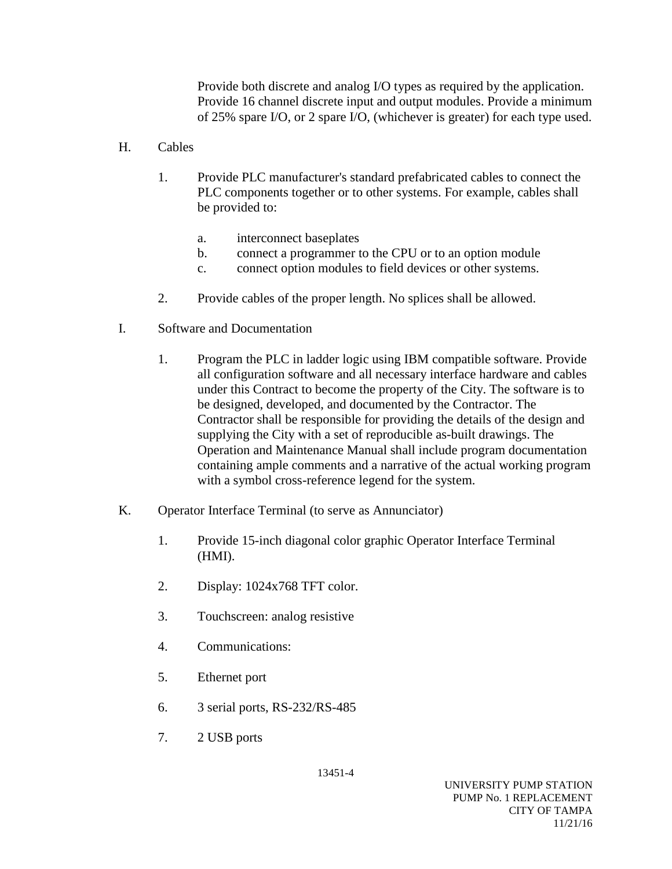Provide both discrete and analog I/O types as required by the application. Provide 16 channel discrete input and output modules. Provide a minimum of 25% spare I/O, or 2 spare I/O, (whichever is greater) for each type used.

- H. Cables
	- 1. Provide PLC manufacturer's standard prefabricated cables to connect the PLC components together or to other systems. For example, cables shall be provided to:
		- a. interconnect baseplates
		- b. connect a programmer to the CPU or to an option module
		- c. connect option modules to field devices or other systems.
	- 2. Provide cables of the proper length. No splices shall be allowed.
- I. Software and Documentation
	- 1. Program the PLC in ladder logic using IBM compatible software. Provide all configuration software and all necessary interface hardware and cables under this Contract to become the property of the City. The software is to be designed, developed, and documented by the Contractor. The Contractor shall be responsible for providing the details of the design and supplying the City with a set of reproducible as-built drawings. The Operation and Maintenance Manual shall include program documentation containing ample comments and a narrative of the actual working program with a symbol cross-reference legend for the system.
- K. Operator Interface Terminal (to serve as Annunciator)
	- 1. Provide 15-inch diagonal color graphic Operator Interface Terminal (HMI).
	- 2. Display: 1024x768 TFT color.
	- 3. Touchscreen: analog resistive
	- 4. Communications:
	- 5. Ethernet port
	- 6. 3 serial ports, RS-232/RS-485
	- 7. 2 USB ports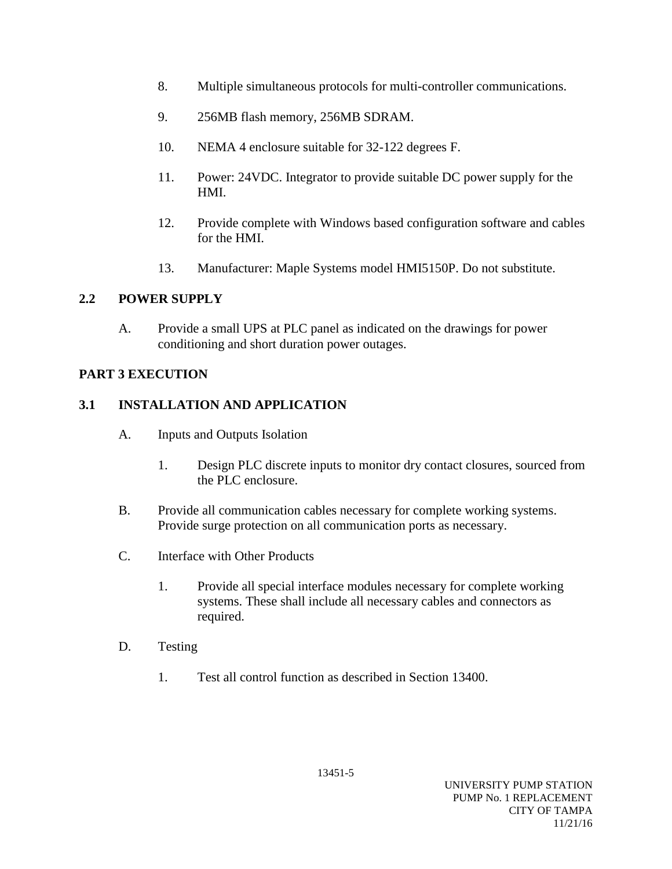- 8. Multiple simultaneous protocols for multi-controller communications.
- 9. 256MB flash memory, 256MB SDRAM.
- 10. NEMA 4 enclosure suitable for 32-122 degrees F.
- 11. Power: 24VDC. Integrator to provide suitable DC power supply for the HMI.
- 12. Provide complete with Windows based configuration software and cables for the HMI.
- 13. Manufacturer: Maple Systems model HMI5150P. Do not substitute.

## **2.2 POWER SUPPLY**

A. Provide a small UPS at PLC panel as indicated on the drawings for power conditioning and short duration power outages.

## **PART 3 EXECUTION**

## **3.1 INSTALLATION AND APPLICATION**

- A. Inputs and Outputs Isolation
	- 1. Design PLC discrete inputs to monitor dry contact closures, sourced from the PLC enclosure.
- B. Provide all communication cables necessary for complete working systems. Provide surge protection on all communication ports as necessary.
- C. Interface with Other Products
	- 1. Provide all special interface modules necessary for complete working systems. These shall include all necessary cables and connectors as required.
- D. Testing
	- 1. Test all control function as described in Section 13400.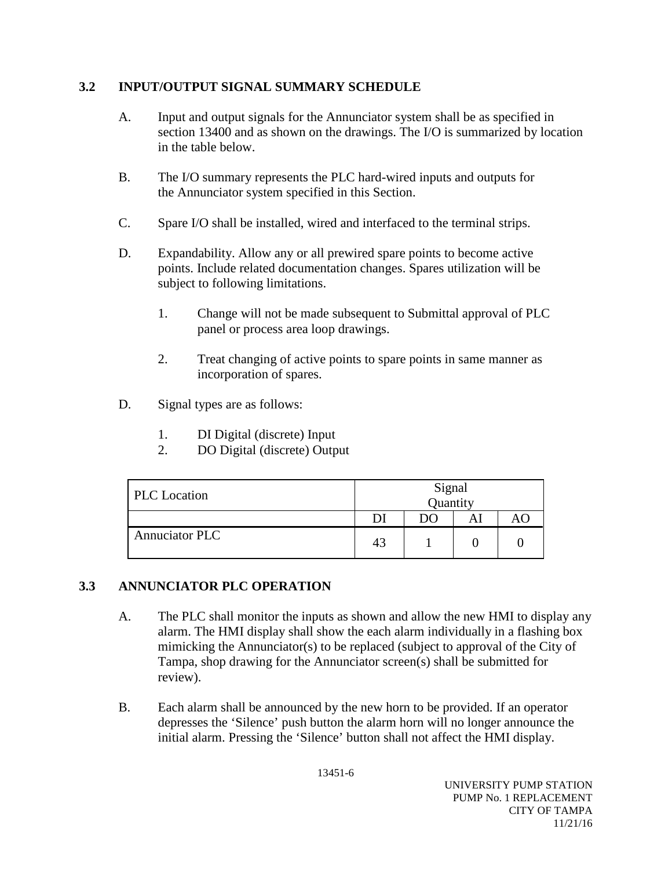## **3.2 INPUT/OUTPUT SIGNAL SUMMARY SCHEDULE**

- A. Input and output signals for the Annunciator system shall be as specified in section 13400 and as shown on the drawings. The I/O is summarized by location in the table below.
- B. The I/O summary represents the PLC hard-wired inputs and outputs for the Annunciator system specified in this Section.
- C. Spare I/O shall be installed, wired and interfaced to the terminal strips.
- D. Expandability. Allow any or all prewired spare points to become active points. Include related documentation changes. Spares utilization will be subject to following limitations.
	- 1. Change will not be made subsequent to Submittal approval of PLC panel or process area loop drawings.
	- 2. Treat changing of active points to spare points in same manner as incorporation of spares.
- D. Signal types are as follows:
	- 1. DI Digital (discrete) Input
	- 2. DO Digital (discrete) Output

| <b>PLC</b> Location   | Signal<br>Quantity |    |  |  |  |  |  |  |
|-----------------------|--------------------|----|--|--|--|--|--|--|
|                       |                    | DO |  |  |  |  |  |  |
| <b>Annuciator PLC</b> | 43                 |    |  |  |  |  |  |  |

## **3.3 ANNUNCIATOR PLC OPERATION**

- A. The PLC shall monitor the inputs as shown and allow the new HMI to display any alarm. The HMI display shall show the each alarm individually in a flashing box mimicking the Annunciator(s) to be replaced (subject to approval of the City of Tampa, shop drawing for the Annunciator screen(s) shall be submitted for review).
- B. Each alarm shall be announced by the new horn to be provided. If an operator depresses the 'Silence' push button the alarm horn will no longer announce the initial alarm. Pressing the 'Silence' button shall not affect the HMI display.